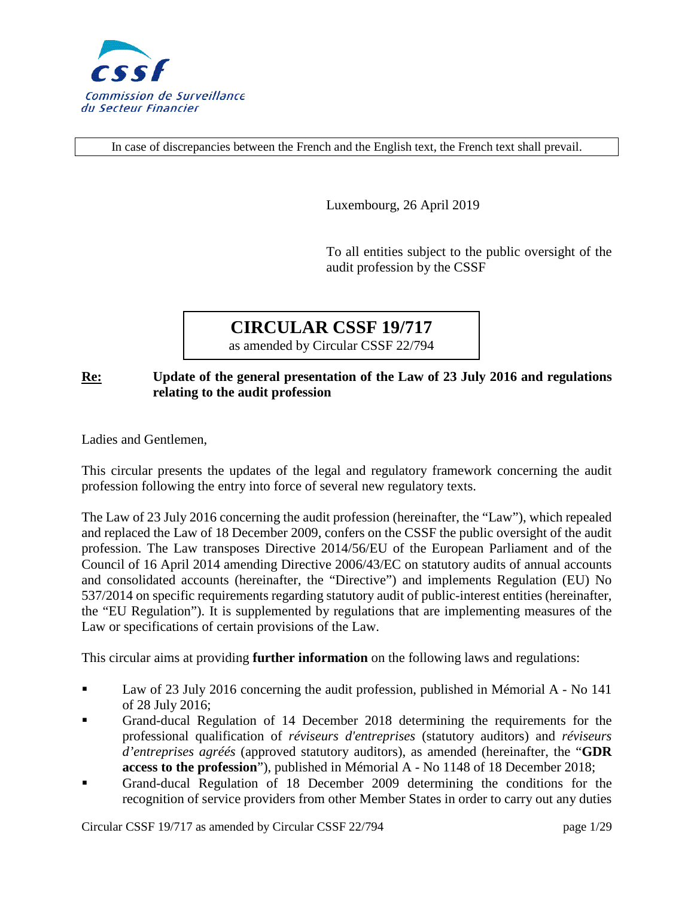

In case of discrepancies between the French and the English text, the French text shall prevail.

Luxembourg, 26 April 2019

To all entities subject to the public oversight of the audit profession by the CSSF

# **CIRCULAR CSSF 19/717**

as amended by Circular CSSF 22/794

#### **Re: Update of the general presentation of the Law of 23 July 2016 and regulations relating to the audit profession**

Ladies and Gentlemen,

This circular presents the updates of the legal and regulatory framework concerning the audit profession following the entry into force of several new regulatory texts.

The Law of 23 July 2016 concerning the audit profession (hereinafter, the "Law"), which repealed and replaced the Law of 18 December 2009, confers on the CSSF the public oversight of the audit profession. The Law transposes Directive 2014/56/EU of the European Parliament and of the Council of 16 April 2014 amending Directive 2006/43/EC on statutory audits of annual accounts and consolidated accounts (hereinafter, the "Directive") and implements Regulation (EU) No 537/2014 on specific requirements regarding statutory audit of public-interest entities (hereinafter, the "EU Regulation"). It is supplemented by regulations that are implementing measures of the Law or specifications of certain provisions of the Law.

This circular aims at providing **further information** on the following laws and regulations:

- Law of 23 July 2016 concerning the audit profession, published in Mémorial A No 141 of 28 July 2016;
- Grand-ducal Regulation of 14 December 2018 determining the requirements for the professional qualification of *réviseurs d'entreprises* (statutory auditors) and *réviseurs d'entreprises agréés* (approved statutory auditors), as amended (hereinafter, the "**GDR access to the profession**"), published in Mémorial A - No 1148 of 18 December 2018;
- Grand-ducal Regulation of 18 December 2009 determining the conditions for the recognition of service providers from other Member States in order to carry out any duties

Circular CSSF 19/717 as amended by Circular CSSF 22/794 page 1/29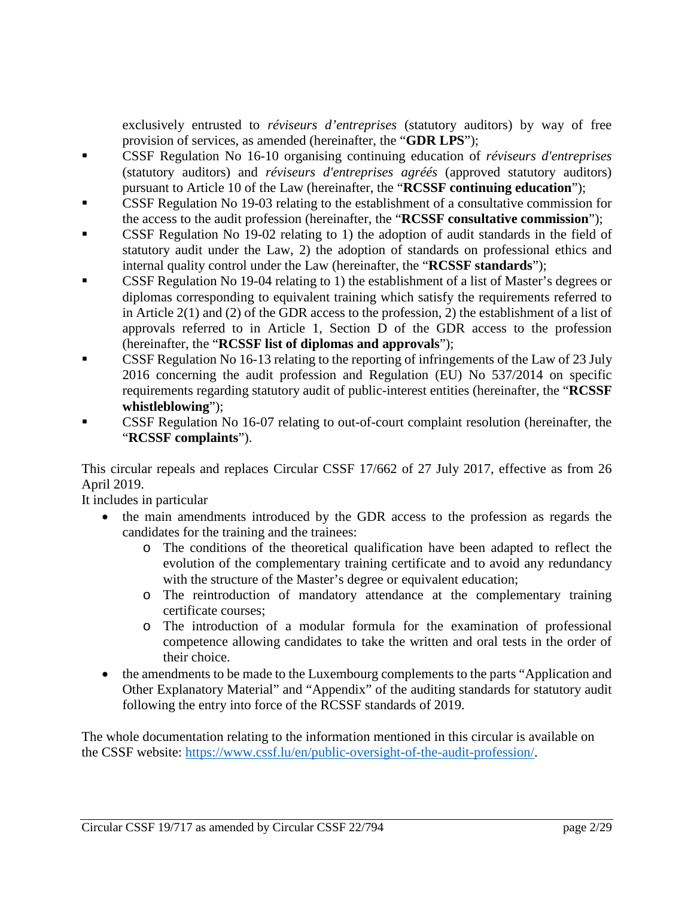exclusively entrusted to *réviseurs d'entreprises* (statutory auditors) by way of free provision of services, as amended (hereinafter, the "**GDR LPS**");

- CSSF Regulation No 16-10 organising continuing education of *réviseurs d'entreprises* (statutory auditors) and *réviseurs d'entreprises agréés* (approved statutory auditors) pursuant to Article 10 of the Law (hereinafter, the "**RCSSF continuing education**");
- CSSF Regulation No 19-03 relating to the establishment of a consultative commission for the access to the audit profession (hereinafter, the "**RCSSF consultative commission**");
- CSSF Regulation No 19-02 relating to 1) the adoption of audit standards in the field of statutory audit under the Law, 2) the adoption of standards on professional ethics and internal quality control under the Law (hereinafter, the "**RCSSF standards**");
- CSSF Regulation No 19-04 relating to 1) the establishment of a list of Master's degrees or diplomas corresponding to equivalent training which satisfy the requirements referred to in Article 2(1) and (2) of the GDR access to the profession, 2) the establishment of a list of approvals referred to in Article 1, Section D of the GDR access to the profession (hereinafter, the "**RCSSF list of diplomas and approvals**");
- CSSF Regulation No 16-13 relating to the reporting of infringements of the Law of 23 July 2016 concerning the audit profession and Regulation (EU) No 537/2014 on specific requirements regarding statutory audit of public-interest entities (hereinafter, the "**RCSSF whistleblowing**");
- CSSF Regulation No 16-07 relating to out-of-court complaint resolution (hereinafter, the "**RCSSF complaints**").

This circular repeals and replaces Circular CSSF 17/662 of 27 July 2017, effective as from 26 April 2019.

It includes in particular

- the main amendments introduced by the GDR access to the profession as regards the candidates for the training and the trainees:
	- o The conditions of the theoretical qualification have been adapted to reflect the evolution of the complementary training certificate and to avoid any redundancy with the structure of the Master's degree or equivalent education;
	- o The reintroduction of mandatory attendance at the complementary training certificate courses;
	- o The introduction of a modular formula for the examination of professional competence allowing candidates to take the written and oral tests in the order of their choice.
- the amendments to be made to the Luxembourg complements to the parts "Application and Other Explanatory Material" and "Appendix" of the auditing standards for statutory audit following the entry into force of the RCSSF standards of 2019.

The whole documentation relating to the information mentioned in this circular is available on the CSSF website: [https://www.cssf.lu/en/public-oversight-of-the-audit-profession/.](https://www.cssf.lu/en/public-oversight-of-the-audit-profession/)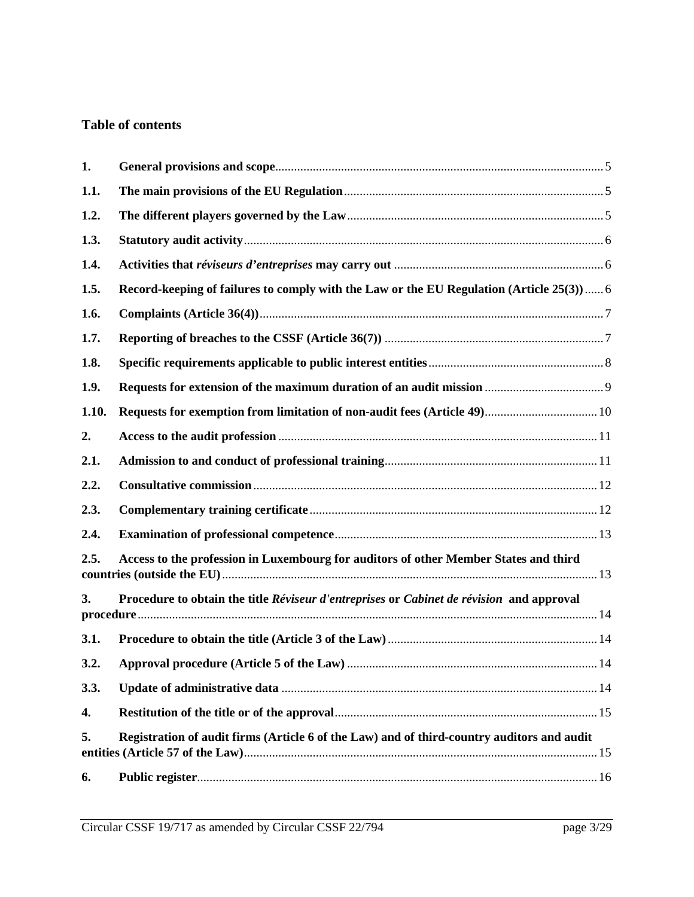# **Table of contents**

| 1.    |                                                                                            |  |
|-------|--------------------------------------------------------------------------------------------|--|
| 1.1.  |                                                                                            |  |
| 1.2.  |                                                                                            |  |
| 1.3.  |                                                                                            |  |
| 1.4.  |                                                                                            |  |
| 1.5.  | Record-keeping of failures to comply with the Law or the EU Regulation (Article 25(3)  6   |  |
| 1.6.  |                                                                                            |  |
| 1.7.  |                                                                                            |  |
| 1.8.  |                                                                                            |  |
| 1.9.  |                                                                                            |  |
| 1.10. |                                                                                            |  |
| 2.    |                                                                                            |  |
| 2.1.  |                                                                                            |  |
| 2.2.  |                                                                                            |  |
| 2.3.  |                                                                                            |  |
| 2.4.  |                                                                                            |  |
| 2.5.  | Access to the profession in Luxembourg for auditors of other Member States and third       |  |
| 3.    | Procedure to obtain the title Réviseur d'entreprises or Cabinet de révision and approval   |  |
| 3.1.  |                                                                                            |  |
| 3.2.  |                                                                                            |  |
| 3.3.  |                                                                                            |  |
| 4.    |                                                                                            |  |
| 5.    | Registration of audit firms (Article 6 of the Law) and of third-country auditors and audit |  |
| 6.    |                                                                                            |  |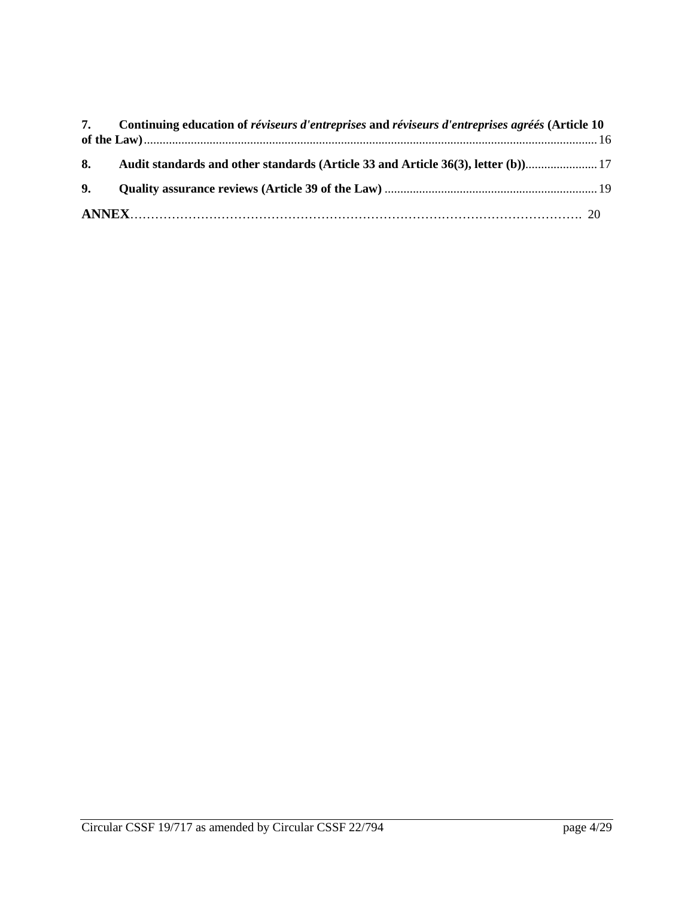| 7. Continuing education of réviseurs d'entreprises and réviseurs d'entreprises agréés (Article 10 |  |
|---------------------------------------------------------------------------------------------------|--|
|                                                                                                   |  |
| 8. Audit standards and other standards (Article 33 and Article 36(3), letter (b)                  |  |
|                                                                                                   |  |
|                                                                                                   |  |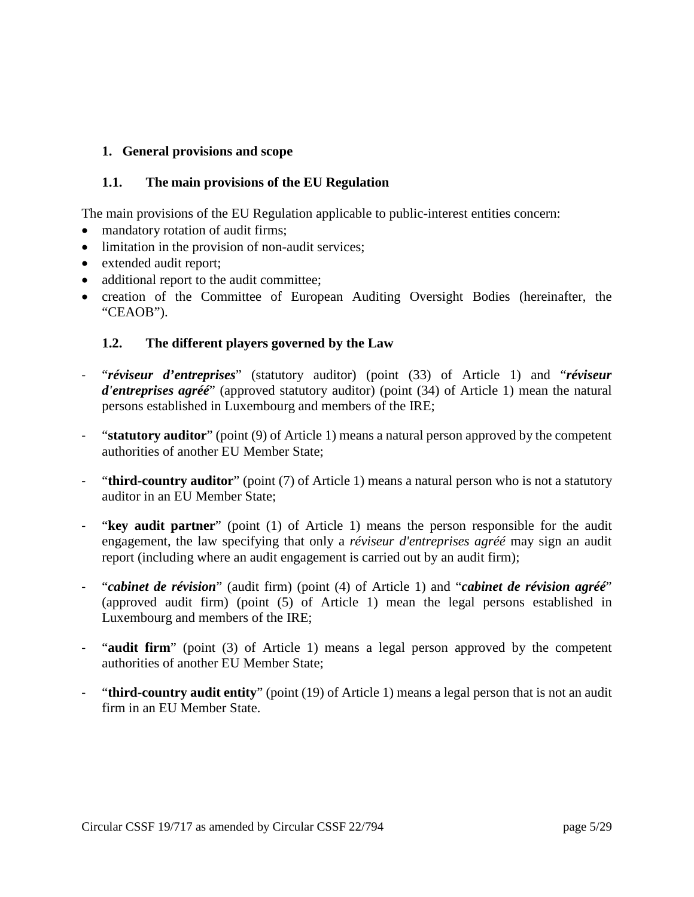#### <span id="page-4-0"></span>**1. General provisions and scope**

#### <span id="page-4-1"></span>**1.1. The main provisions of the EU Regulation**

The main provisions of the EU Regulation applicable to public-interest entities concern:

- mandatory rotation of audit firms;
- limitation in the provision of non-audit services;
- extended audit report;
- additional report to the audit committee;
- creation of the Committee of European Auditing Oversight Bodies (hereinafter, the "CEAOB").

#### <span id="page-4-2"></span>**1.2. The different players governed by the Law**

- "*réviseur d'entreprises*" (statutory auditor) (point (33) of Article 1) and "*réviseur d'entreprises agréé*" (approved statutory auditor) (point (34) of Article 1) mean the natural persons established in Luxembourg and members of the IRE;
- "**statutory auditor**" (point (9) of Article 1) means a natural person approved by the competent authorities of another EU Member State;
- "**third-country auditor**" (point (7) of Article 1) means a natural person who is not a statutory auditor in an EU Member State;
- "**key audit partner**" (point (1) of Article 1) means the person responsible for the audit engagement, the law specifying that only a *réviseur d'entreprises agréé* may sign an audit report (including where an audit engagement is carried out by an audit firm);
- "*cabinet de révision*" (audit firm) (point (4) of Article 1) and "*cabinet de révision agréé*" (approved audit firm) (point (5) of Article 1) mean the legal persons established in Luxembourg and members of the IRE;
- "**audit firm**" (point (3) of Article 1) means a legal person approved by the competent authorities of another EU Member State;
- "**third-country audit entity**" (point (19) of Article 1) means a legal person that is not an audit firm in an EU Member State.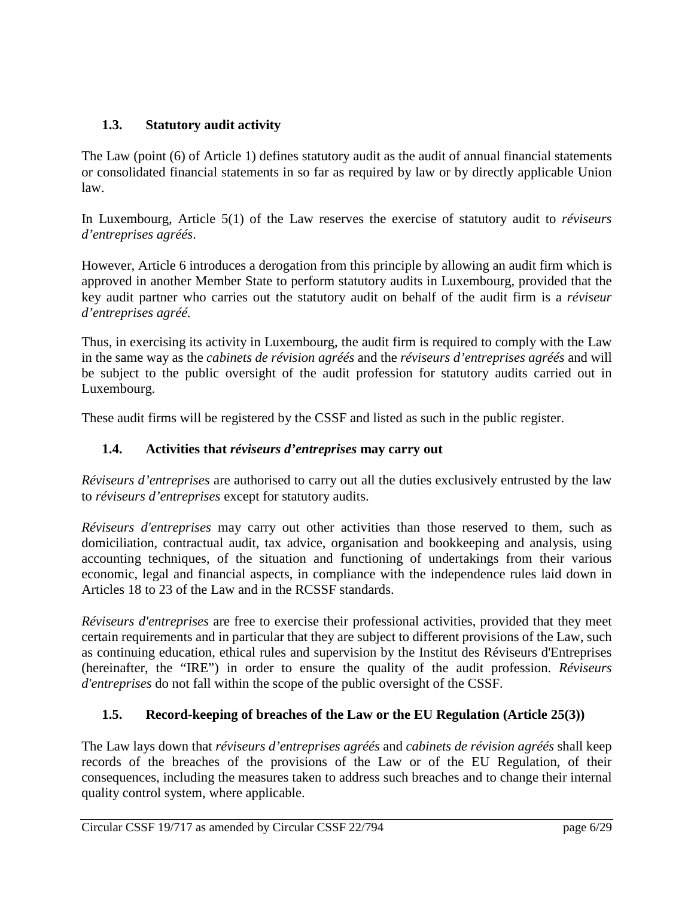# <span id="page-5-0"></span>**1.3. Statutory audit activity**

The Law (point (6) of Article 1) defines statutory audit as the audit of annual financial statements or consolidated financial statements in so far as required by law or by directly applicable Union law.

In Luxembourg, Article 5(1) of the Law reserves the exercise of statutory audit to *réviseurs d'entreprises agréés*.

However, Article 6 introduces a derogation from this principle by allowing an audit firm which is approved in another Member State to perform statutory audits in Luxembourg, provided that the key audit partner who carries out the statutory audit on behalf of the audit firm is a *réviseur d'entreprises agréé.*

Thus, in exercising its activity in Luxembourg, the audit firm is required to comply with the Law in the same way as the *cabinets de révision agréés* and the *réviseurs d'entreprises agréés* and will be subject to the public oversight of the audit profession for statutory audits carried out in Luxembourg.

These audit firms will be registered by the CSSF and listed as such in the public register.

# <span id="page-5-1"></span>**1.4. Activities that** *réviseurs d'entreprises* **may carry out**

*Réviseurs d'entreprises* are authorised to carry out all the duties exclusively entrusted by the law to *réviseurs d'entreprises* except for statutory audits.

*Réviseurs d'entreprises* may carry out other activities than those reserved to them, such as domiciliation, contractual audit, tax advice, organisation and bookkeeping and analysis, using accounting techniques, of the situation and functioning of undertakings from their various economic, legal and financial aspects, in compliance with the independence rules laid down in Articles 18 to 23 of the Law and in the RCSSF standards.

*Réviseurs d'entreprises* are free to exercise their professional activities, provided that they meet certain requirements and in particular that they are subject to different provisions of the Law, such as continuing education, ethical rules and supervision by the Institut des Réviseurs d'Entreprises (hereinafter, the "IRE") in order to ensure the quality of the audit profession. *Réviseurs d'entreprises* do not fall within the scope of the public oversight of the CSSF.

# <span id="page-5-2"></span>**1.5. Record-keeping of breaches of the Law or the EU Regulation (Article 25(3))**

The Law lays down that *réviseurs d'entreprises agréés* and *cabinets de révision agréés* shall keep records of the breaches of the provisions of the Law or of the EU Regulation, of their consequences, including the measures taken to address such breaches and to change their internal quality control system, where applicable.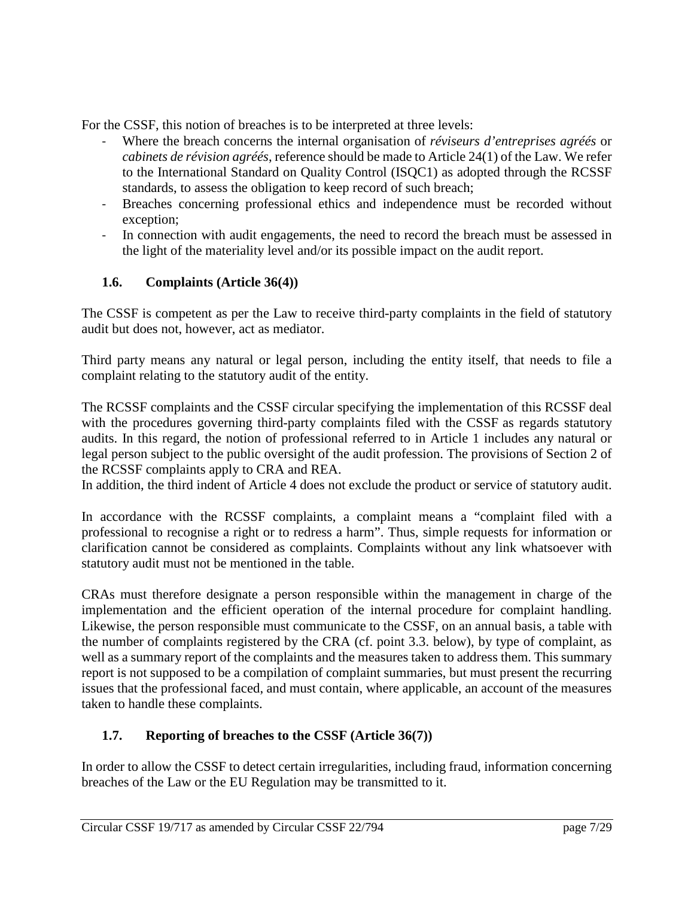For the CSSF, this notion of breaches is to be interpreted at three levels:

- Where the breach concerns the internal organisation of *réviseurs d'entreprises agréés* or *cabinets de révision agréés*, reference should be made to Article 24(1) of the Law. We refer to the International Standard on Quality Control (ISQC1) as adopted through the RCSSF standards, to assess the obligation to keep record of such breach;
- Breaches concerning professional ethics and independence must be recorded without exception;
- In connection with audit engagements, the need to record the breach must be assessed in the light of the materiality level and/or its possible impact on the audit report.

# <span id="page-6-0"></span>**1.6. Complaints (Article 36(4))**

The CSSF is competent as per the Law to receive third-party complaints in the field of statutory audit but does not, however, act as mediator.

Third party means any natural or legal person, including the entity itself, that needs to file a complaint relating to the statutory audit of the entity.

The RCSSF complaints and the CSSF circular specifying the implementation of this RCSSF deal with the procedures governing third-party complaints filed with the CSSF as regards statutory audits. In this regard, the notion of professional referred to in Article 1 includes any natural or legal person subject to the public oversight of the audit profession. The provisions of Section 2 of the RCSSF complaints apply to CRA and REA.

In addition, the third indent of Article 4 does not exclude the product or service of statutory audit.

In accordance with the RCSSF complaints, a complaint means a "complaint filed with a professional to recognise a right or to redress a harm". Thus, simple requests for information or clarification cannot be considered as complaints. Complaints without any link whatsoever with statutory audit must not be mentioned in the table.

CRAs must therefore designate a person responsible within the management in charge of the implementation and the efficient operation of the internal procedure for complaint handling. Likewise, the person responsible must communicate to the CSSF, on an annual basis, a table with the number of complaints registered by the CRA (cf. point 3.3. below), by type of complaint, as well as a summary report of the complaints and the measures taken to address them. This summary report is not supposed to be a compilation of complaint summaries, but must present the recurring issues that the professional faced, and must contain, where applicable, an account of the measures taken to handle these complaints.

# <span id="page-6-1"></span>**1.7. Reporting of breaches to the CSSF (Article 36(7))**

In order to allow the CSSF to detect certain irregularities, including fraud, information concerning breaches of the Law or the EU Regulation may be transmitted to it.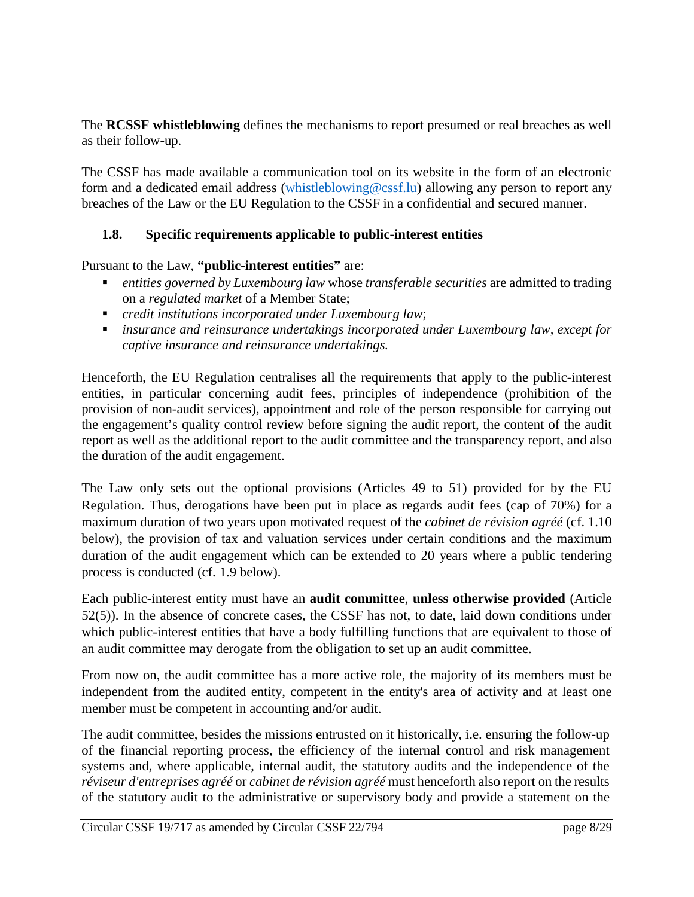The **RCSSF whistleblowing** defines the mechanisms to report presumed or real breaches as well as their follow-up.

The CSSF has made available a communication tool on its website in the form of an electronic form and a dedicated email address [\(whistleblowing@cssf.lu\)](mailto:whistleblowing@cssf.lu) allowing any person to report any breaches of the Law or the EU Regulation to the CSSF in a confidential and secured manner.

# <span id="page-7-0"></span>**1.8. Specific requirements applicable to public-interest entities**

Pursuant to the Law, **"public-interest entities"** are:

- *entities governed by Luxembourg law* whose *transferable securities* are admitted to trading on a *regulated market* of a Member State;
- *credit institutions incorporated under Luxembourg law*;
- *insurance and reinsurance undertakings incorporated under Luxembourg law, except for captive insurance and reinsurance undertakings.*

Henceforth, the EU Regulation centralises all the requirements that apply to the public-interest entities, in particular concerning audit fees, principles of independence (prohibition of the provision of non-audit services), appointment and role of the person responsible for carrying out the engagement's quality control review before signing the audit report, the content of the audit report as well as the additional report to the audit committee and the transparency report, and also the duration of the audit engagement.

The Law only sets out the optional provisions (Articles 49 to 51) provided for by the EU Regulation. Thus, derogations have been put in place as regards audit fees (cap of 70%) for a maximum duration of two years upon motivated request of the *cabinet de révision agréé* (cf. 1.10 below), the provision of tax and valuation services under certain conditions and the maximum duration of the audit engagement which can be extended to 20 years where a public tendering process is conducted (cf. 1.9 below).

Each public-interest entity must have an **audit committee**, **unless otherwise provided** (Article 52(5)). In the absence of concrete cases, the CSSF has not, to date, laid down conditions under which public-interest entities that have a body fulfilling functions that are equivalent to those of an audit committee may derogate from the obligation to set up an audit committee.

From now on, the audit committee has a more active role, the majority of its members must be independent from the audited entity, competent in the entity's area of activity and at least one member must be competent in accounting and/or audit.

The audit committee, besides the missions entrusted on it historically, i.e. ensuring the follow-up of the financial reporting process, the efficiency of the internal control and risk management systems and, where applicable, internal audit, the statutory audits and the independence of the *réviseur d'entreprises agréé* or *cabinet de révision agréé* must henceforth also report on the results of the statutory audit to the administrative or supervisory body and provide a statement on the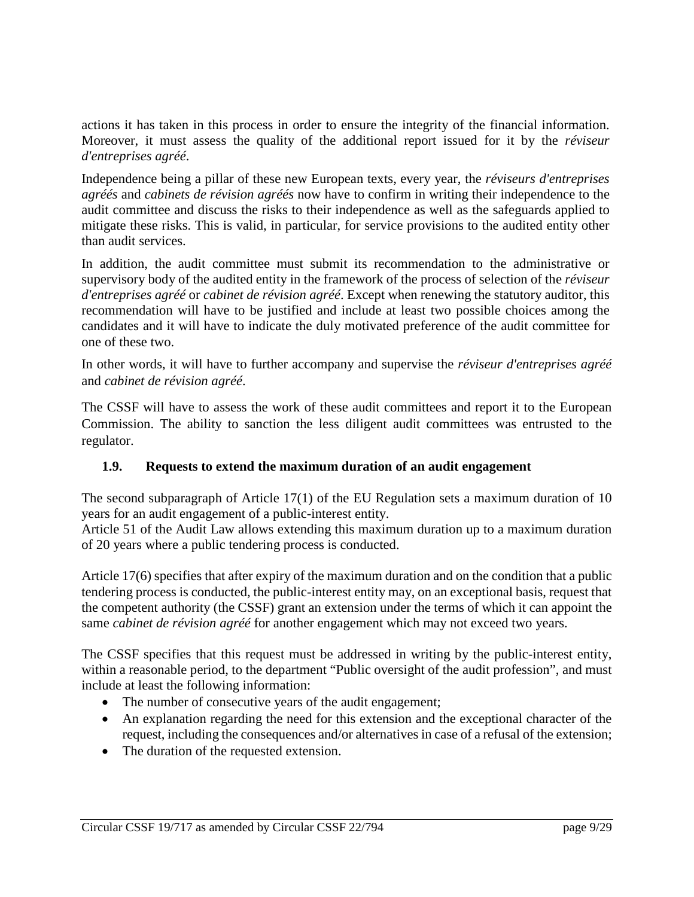actions it has taken in this process in order to ensure the integrity of the financial information. Moreover, it must assess the quality of the additional report issued for it by the *réviseur d'entreprises agréé*.

Independence being a pillar of these new European texts, every year, the *réviseurs d'entreprises agréés* and *cabinets de révision agréés* now have to confirm in writing their independence to the audit committee and discuss the risks to their independence as well as the safeguards applied to mitigate these risks. This is valid, in particular, for service provisions to the audited entity other than audit services.

In addition, the audit committee must submit its recommendation to the administrative or supervisory body of the audited entity in the framework of the process of selection of the *réviseur d'entreprises agréé* or *cabinet de révision agréé*. Except when renewing the statutory auditor, this recommendation will have to be justified and include at least two possible choices among the candidates and it will have to indicate the duly motivated preference of the audit committee for one of these two.

In other words, it will have to further accompany and supervise the *réviseur d'entreprises agréé* and *cabinet de révision agréé*.

The CSSF will have to assess the work of these audit committees and report it to the European Commission. The ability to sanction the less diligent audit committees was entrusted to the regulator.

# <span id="page-8-0"></span>**1.9. Requests to extend the maximum duration of an audit engagement**

The second subparagraph of Article 17(1) of the EU Regulation sets a maximum duration of 10 years for an audit engagement of a public-interest entity.

Article 51 of the Audit Law allows extending this maximum duration up to a maximum duration of 20 years where a public tendering process is conducted.

Article 17(6) specifies that after expiry of the maximum duration and on the condition that a public tendering process is conducted, the public-interest entity may, on an exceptional basis, request that the competent authority (the CSSF) grant an extension under the terms of which it can appoint the same *cabinet de révision agréé* for another engagement which may not exceed two years.

The CSSF specifies that this request must be addressed in writing by the public-interest entity, within a reasonable period, to the department "Public oversight of the audit profession", and must include at least the following information:

- The number of consecutive years of the audit engagement;
- An explanation regarding the need for this extension and the exceptional character of the request, including the consequences and/or alternatives in case of a refusal of the extension;
- The duration of the requested extension.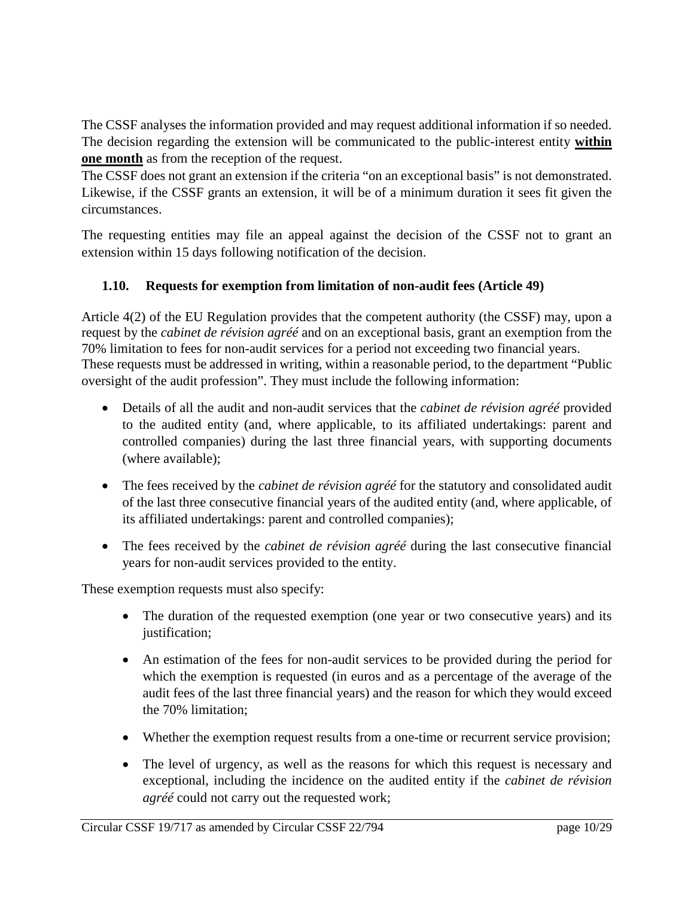The CSSF analyses the information provided and may request additional information if so needed. The decision regarding the extension will be communicated to the public-interest entity **within one month** as from the reception of the request.

The CSSF does not grant an extension if the criteria "on an exceptional basis" is not demonstrated. Likewise, if the CSSF grants an extension, it will be of a minimum duration it sees fit given the circumstances.

The requesting entities may file an appeal against the decision of the CSSF not to grant an extension within 15 days following notification of the decision.

# <span id="page-9-0"></span>**1.10. Requests for exemption from limitation of non-audit fees (Article 49)**

Article 4(2) of the EU Regulation provides that the competent authority (the CSSF) may, upon a request by the *cabinet de révision agréé* and on an exceptional basis, grant an exemption from the 70% limitation to fees for non-audit services for a period not exceeding two financial years. These requests must be addressed in writing, within a reasonable period, to the department "Public oversight of the audit profession". They must include the following information:

- Details of all the audit and non-audit services that the *cabinet de révision agréé* provided to the audited entity (and, where applicable, to its affiliated undertakings: parent and controlled companies) during the last three financial years, with supporting documents (where available);
- The fees received by the *cabinet de révision agréé* for the statutory and consolidated audit of the last three consecutive financial years of the audited entity (and, where applicable, of its affiliated undertakings: parent and controlled companies);
- The fees received by the *cabinet de révision agréé* during the last consecutive financial years for non-audit services provided to the entity.

These exemption requests must also specify:

- The duration of the requested exemption (one year or two consecutive years) and its justification;
- An estimation of the fees for non-audit services to be provided during the period for which the exemption is requested (in euros and as a percentage of the average of the audit fees of the last three financial years) and the reason for which they would exceed the 70% limitation;
- Whether the exemption request results from a one-time or recurrent service provision;
- The level of urgency, as well as the reasons for which this request is necessary and exceptional, including the incidence on the audited entity if the *cabinet de révision agréé* could not carry out the requested work;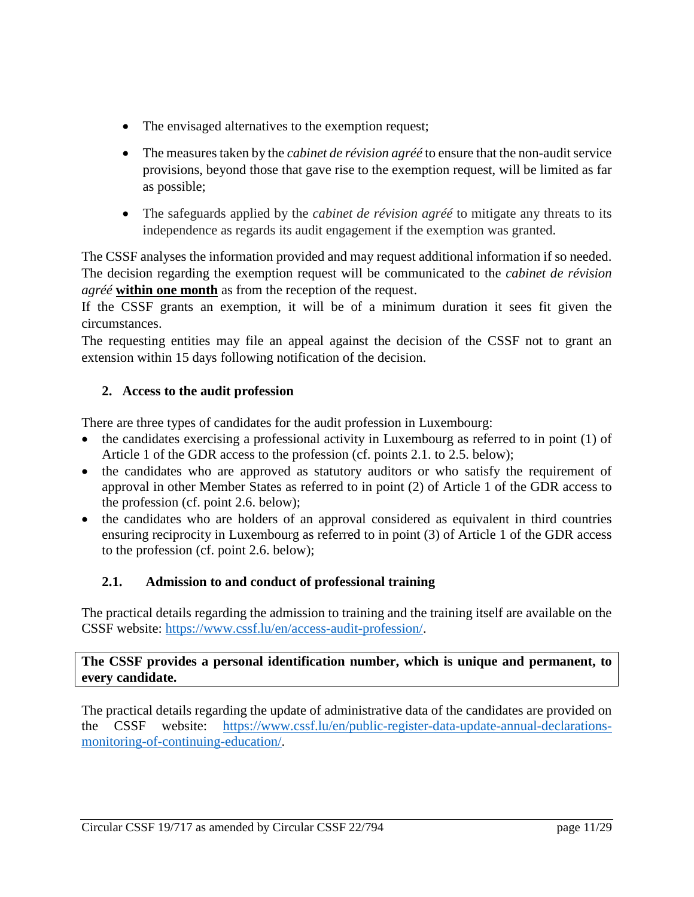- The envisaged alternatives to the exemption request;
- The measures taken by the *cabinet de révision agréé* to ensure that the non-audit service provisions, beyond those that gave rise to the exemption request, will be limited as far as possible;
- The safeguards applied by the *cabinet de révision agréé* to mitigate any threats to its independence as regards its audit engagement if the exemption was granted.

The CSSF analyses the information provided and may request additional information if so needed. The decision regarding the exemption request will be communicated to the *cabinet de révision agréé* **within one month** as from the reception of the request.

If the CSSF grants an exemption, it will be of a minimum duration it sees fit given the circumstances.

The requesting entities may file an appeal against the decision of the CSSF not to grant an extension within 15 days following notification of the decision.

# <span id="page-10-0"></span>**2. Access to the audit profession**

There are three types of candidates for the audit profession in Luxembourg:

- the candidates exercising a professional activity in Luxembourg as referred to in point (1) of Article 1 of the GDR access to the profession (cf. points 2.1. to 2.5. below);
- the candidates who are approved as statutory auditors or who satisfy the requirement of approval in other Member States as referred to in point (2) of Article 1 of the GDR access to the profession (cf. point 2.6. below);
- the candidates who are holders of an approval considered as equivalent in third countries ensuring reciprocity in Luxembourg as referred to in point (3) of Article 1 of the GDR access to the profession (cf. point 2.6. below);

# <span id="page-10-1"></span>**2.1. Admission to and conduct of professional training**

The practical details regarding the admission to training and the training itself are available on the CSSF website: [https://www.cssf.lu/en/access-audit-profession/.](https://www.cssf.lu/en/access-audit-profession/)

# **The CSSF provides a personal identification number, which is unique and permanent, to every candidate.**

The practical details regarding the update of administrative data of the candidates are provided on the CSSF website: [https://www.cssf.lu/en/public-register-data-update-annual-declarations](https://www.cssf.lu/en/public-register-data-update-annual-declarations-monitoring-of-continuing-education/)[monitoring-of-continuing-education/.](https://www.cssf.lu/en/public-register-data-update-annual-declarations-monitoring-of-continuing-education/)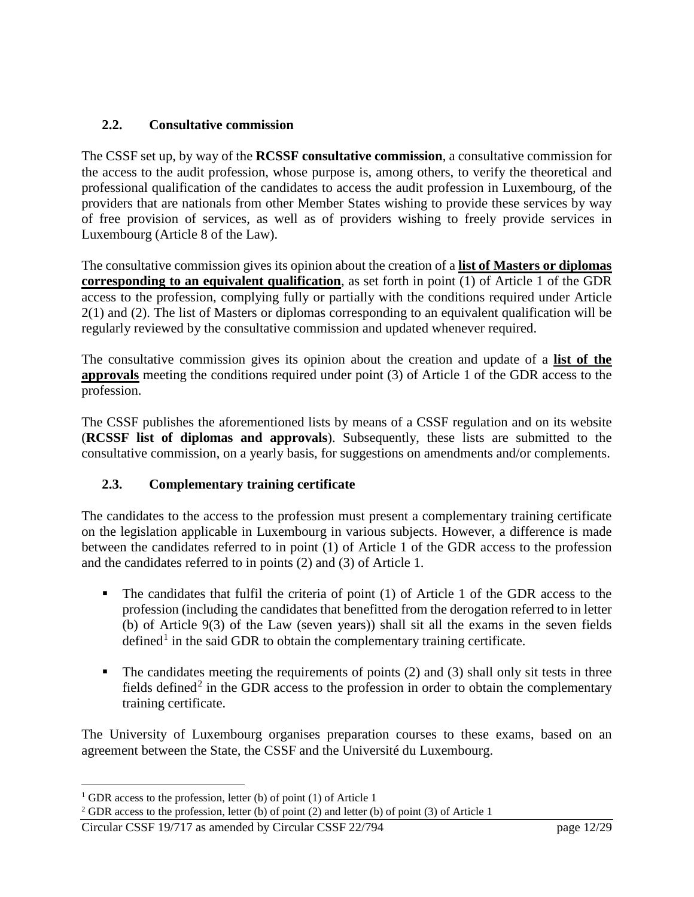# <span id="page-11-0"></span>**2.2. Consultative commission**

The CSSF set up, by way of the **RCSSF consultative commission**, a consultative commission for the access to the audit profession, whose purpose is, among others, to verify the theoretical and professional qualification of the candidates to access the audit profession in Luxembourg, of the providers that are nationals from other Member States wishing to provide these services by way of free provision of services, as well as of providers wishing to freely provide services in Luxembourg (Article 8 of the Law).

The consultative commission gives its opinion about the creation of a **list of Masters or diplomas corresponding to an equivalent qualification**, as set forth in point (1) of Article 1 of the GDR access to the profession, complying fully or partially with the conditions required under Article 2(1) and (2). The list of Masters or diplomas corresponding to an equivalent qualification will be regularly reviewed by the consultative commission and updated whenever required.

The consultative commission gives its opinion about the creation and update of a **list of the approvals** meeting the conditions required under point (3) of Article 1 of the GDR access to the profession.

The CSSF publishes the aforementioned lists by means of a CSSF regulation and on its website (**RCSSF list of diplomas and approvals**). Subsequently, these lists are submitted to the consultative commission, on a yearly basis, for suggestions on amendments and/or complements.

# <span id="page-11-1"></span>**2.3. Complementary training certificate**

The candidates to the access to the profession must present a complementary training certificate on the legislation applicable in Luxembourg in various subjects. However, a difference is made between the candidates referred to in point (1) of Article 1 of the GDR access to the profession and the candidates referred to in points (2) and (3) of Article 1.

- The candidates that fulfil the criteria of point (1) of Article 1 of the GDR access to the profession (including the candidates that benefitted from the derogation referred to in letter (b) of Article 9(3) of the Law (seven years)) shall sit all the exams in the seven fields defined<sup>[1](#page-11-2)</sup> in the said GDR to obtain the complementary training certificate.
- $\blacksquare$  The candidates meeting the requirements of points (2) and (3) shall only sit tests in three fields defined<sup>[2](#page-11-3)</sup> in the GDR access to the profession in order to obtain the complementary training certificate.

The University of Luxembourg organises preparation courses to these exams, based on an agreement between the State, the CSSF and the Université du Luxembourg.

 $\overline{a}$ 

<span id="page-11-2"></span> $1$  GDR access to the profession, letter (b) of point (1) of Article 1

<span id="page-11-3"></span> $2$  GDR access to the profession, letter (b) of point (2) and letter (b) of point (3) of Article 1

Circular CSSF 19/717 as amended by Circular CSSF 22/794 page 12/29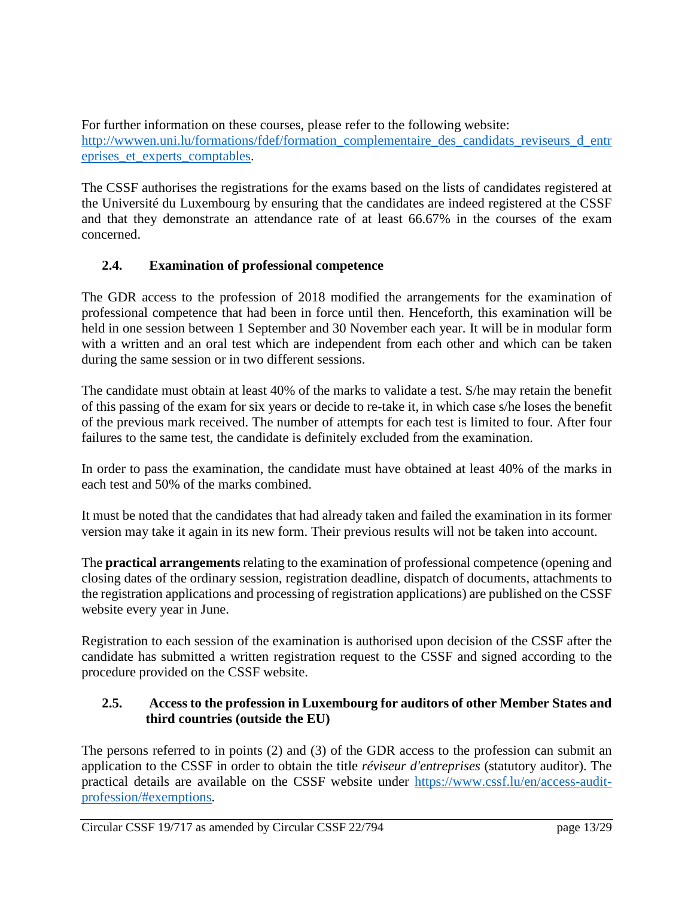For further information on these courses, please refer to the following website: [http://wwwen.uni.lu/formations/fdef/formation\\_complementaire\\_des\\_candidats\\_reviseurs\\_d\\_entr](http://wwwen.uni.lu/formations/fdef/formation_complementaire_des_candidats_reviseurs_d_entreprises_et_experts_comptables) eprises et experts comptables.

The CSSF authorises the registrations for the exams based on the lists of candidates registered at the Université du Luxembourg by ensuring that the candidates are indeed registered at the CSSF and that they demonstrate an attendance rate of at least 66.67% in the courses of the exam concerned.

# <span id="page-12-0"></span>**2.4. Examination of professional competence**

The GDR access to the profession of 2018 modified the arrangements for the examination of professional competence that had been in force until then. Henceforth, this examination will be held in one session between 1 September and 30 November each year. It will be in modular form with a written and an oral test which are independent from each other and which can be taken during the same session or in two different sessions.

The candidate must obtain at least 40% of the marks to validate a test. S/he may retain the benefit of this passing of the exam for six years or decide to re-take it, in which case s/he loses the benefit of the previous mark received. The number of attempts for each test is limited to four. After four failures to the same test, the candidate is definitely excluded from the examination.

In order to pass the examination, the candidate must have obtained at least 40% of the marks in each test and 50% of the marks combined.

It must be noted that the candidates that had already taken and failed the examination in its former version may take it again in its new form. Their previous results will not be taken into account.

The **practical arrangements** relating to the examination of professional competence (opening and closing dates of the ordinary session, registration deadline, dispatch of documents, attachments to the registration applications and processing of registration applications) are published on the CSSF website every year in June.

Registration to each session of the examination is authorised upon decision of the CSSF after the candidate has submitted a written registration request to the CSSF and signed according to the procedure provided on the CSSF website.

# <span id="page-12-1"></span>**2.5. Access to the profession in Luxembourg for auditors of other Member States and third countries (outside the EU)**

The persons referred to in points (2) and (3) of the GDR access to the profession can submit an application to the CSSF in order to obtain the title *réviseur d'entreprises* (statutory auditor). The practical details are available on the CSSF website under [https://www.cssf.lu/en/access-audit](https://www.cssf.lu/en/access-audit-profession/#exemptions)[profession/#exemptions.](https://www.cssf.lu/en/access-audit-profession/#exemptions)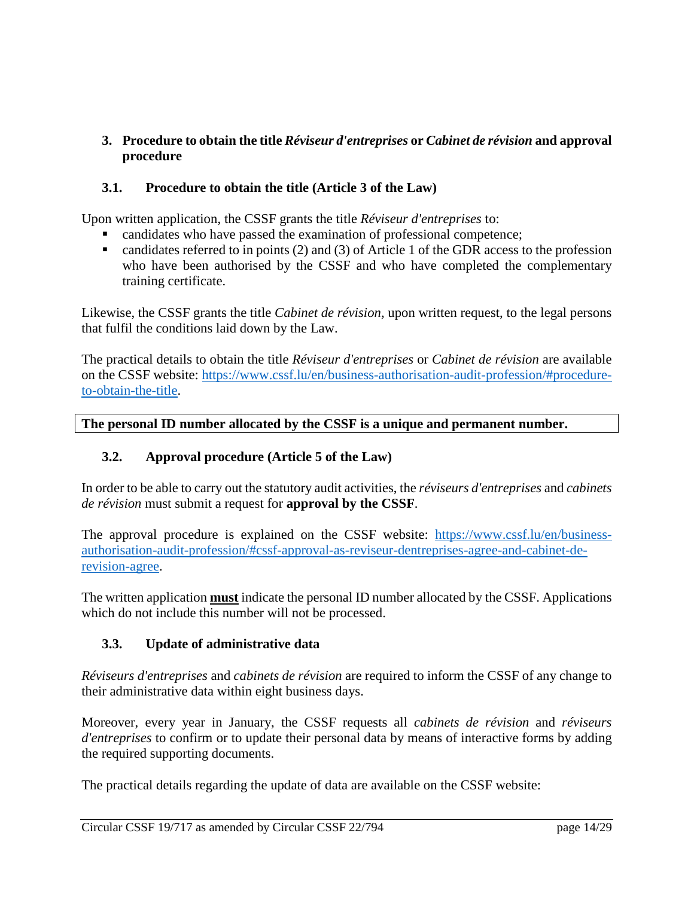# <span id="page-13-0"></span>**3. Procedure to obtain the title** *Réviseur d'entreprises* **or** *Cabinet de révision* **and approval procedure**

# <span id="page-13-1"></span>**3.1. Procedure to obtain the title (Article 3 of the Law)**

Upon written application, the CSSF grants the title *Réviseur d'entreprises* to:

- candidates who have passed the examination of professional competence;
- candidates referred to in points  $(2)$  and  $(3)$  of Article 1 of the GDR access to the profession who have been authorised by the CSSF and who have completed the complementary training certificate.

Likewise, the CSSF grants the title *Cabinet de révision,* upon written request, to the legal persons that fulfil the conditions laid down by the Law.

The practical details to obtain the title *Réviseur d'entreprises* or *Cabinet de révision* are available on the CSSF website: [https://www.cssf.lu/en/business-authorisation-audit-profession/#procedure](https://www.cssf.lu/en/business-authorisation-audit-profession/#procedure-to-obtain-the-title)[to-obtain-the-title.](https://www.cssf.lu/en/business-authorisation-audit-profession/#procedure-to-obtain-the-title)

#### **The personal ID number allocated by the CSSF is a unique and permanent number.**

#### <span id="page-13-2"></span>**3.2. Approval procedure (Article 5 of the Law)**

In order to be able to carry out the statutory audit activities, the *réviseurs d'entreprises* and *cabinets de révision* must submit a request for **approval by the CSSF**.

The approval procedure is explained on the CSSF website: [https://www.cssf.lu/en/business](https://www.cssf.lu/en/business-authorisation-audit-profession/#cssf-approval-as-reviseur-dentreprises-agree-and-cabinet-de-revision-agree)[authorisation-audit-profession/#cssf-approval-as-reviseur-dentreprises-agree-and-cabinet-de](https://www.cssf.lu/en/business-authorisation-audit-profession/#cssf-approval-as-reviseur-dentreprises-agree-and-cabinet-de-revision-agree)[revision-agree.](https://www.cssf.lu/en/business-authorisation-audit-profession/#cssf-approval-as-reviseur-dentreprises-agree-and-cabinet-de-revision-agree)

The written application **must** indicate the personal ID number allocated by the CSSF. Applications which do not include this number will not be processed.

#### <span id="page-13-3"></span>**3.3. Update of administrative data**

*Réviseurs d'entreprises* and *cabinets de révision* are required to inform the CSSF of any change to their administrative data within eight business days.

Moreover, every year in January, the CSSF requests all *cabinets de révision* and *réviseurs d'entreprises* to confirm or to update their personal data by means of interactive forms by adding the required supporting documents.

The practical details regarding the update of data are available on the CSSF website: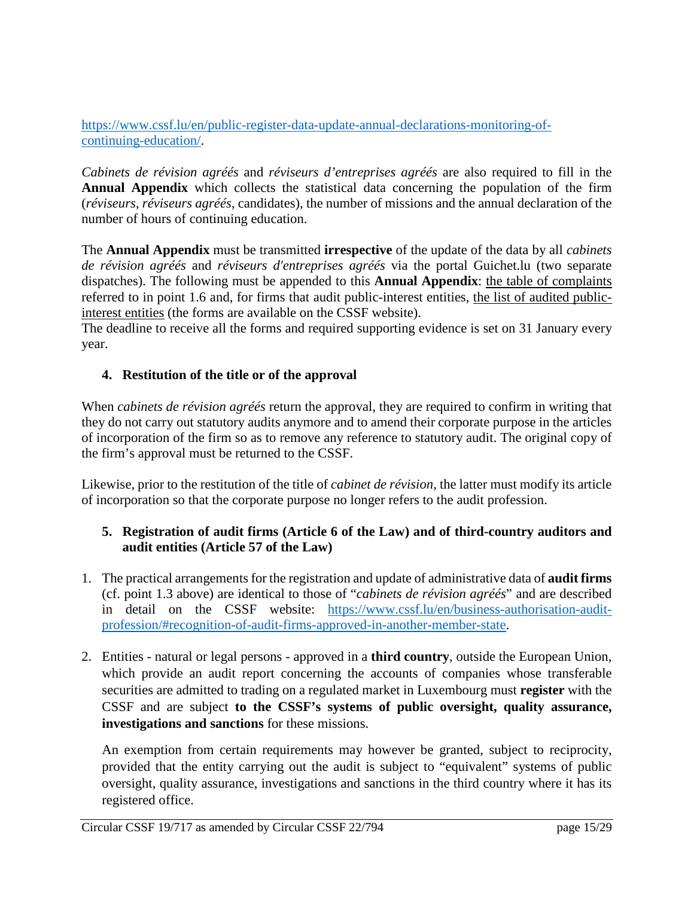[https://www.cssf.lu/en/public-register-data-update-annual-declarations-monitoring-of](https://www.cssf.lu/en/public-register-data-update-annual-declarations-monitoring-of-continuing-education/)[continuing-education/.](https://www.cssf.lu/en/public-register-data-update-annual-declarations-monitoring-of-continuing-education/)

*Cabinets de révision agréés* and *réviseurs d'entreprises agréés* are also required to fill in the **Annual Appendix** which collects the statistical data concerning the population of the firm (*réviseurs*, *réviseurs agréés*, candidates), the number of missions and the annual declaration of the number of hours of continuing education.

The **Annual Appendix** must be transmitted **irrespective** of the update of the data by all *cabinets de révision agréés* and *réviseurs d'entreprises agréés* via the portal Guichet.lu (two separate dispatches). The following must be appended to this **Annual Appendix**: the table of complaints referred to in point 1.6 and, for firms that audit public-interest entities, the list of audited publicinterest entities (the forms are available on the CSSF website).

The deadline to receive all the forms and required supporting evidence is set on 31 January every year.

#### <span id="page-14-0"></span>**4. Restitution of the title or of the approval**

When *cabinets de révision agréés* return the approval, they are required to confirm in writing that they do not carry out statutory audits anymore and to amend their corporate purpose in the articles of incorporation of the firm so as to remove any reference to statutory audit. The original copy of the firm's approval must be returned to the CSSF.

Likewise, prior to the restitution of the title of *cabinet de révision*, the latter must modify its article of incorporation so that the corporate purpose no longer refers to the audit profession.

#### <span id="page-14-1"></span>**5. Registration of audit firms (Article 6 of the Law) and of third-country auditors and audit entities (Article 57 of the Law)**

- 1. The practical arrangements for the registration and update of administrative data of **audit firms** (cf. point 1.3 above) are identical to those of "*cabinets de révision agréés*" and are described in detail on the CSSF website: [https://www.cssf.lu/en/business-authorisation-audit](https://www.cssf.lu/en/business-authorisation-audit-profession/#recognition-of-audit-firms-approved-in-another-member-state)[profession/#recognition-of-audit-firms-approved-in-another-member-state.](https://www.cssf.lu/en/business-authorisation-audit-profession/#recognition-of-audit-firms-approved-in-another-member-state)
- 2. Entities natural or legal persons approved in a **third country**, outside the European Union, which provide an audit report concerning the accounts of companies whose transferable securities are admitted to trading on a regulated market in Luxembourg must **register** with the CSSF and are subject **to the CSSF's systems of public oversight, quality assurance, investigations and sanctions** for these missions.

An exemption from certain requirements may however be granted, subject to reciprocity, provided that the entity carrying out the audit is subject to "equivalent" systems of public oversight, quality assurance, investigations and sanctions in the third country where it has its registered office.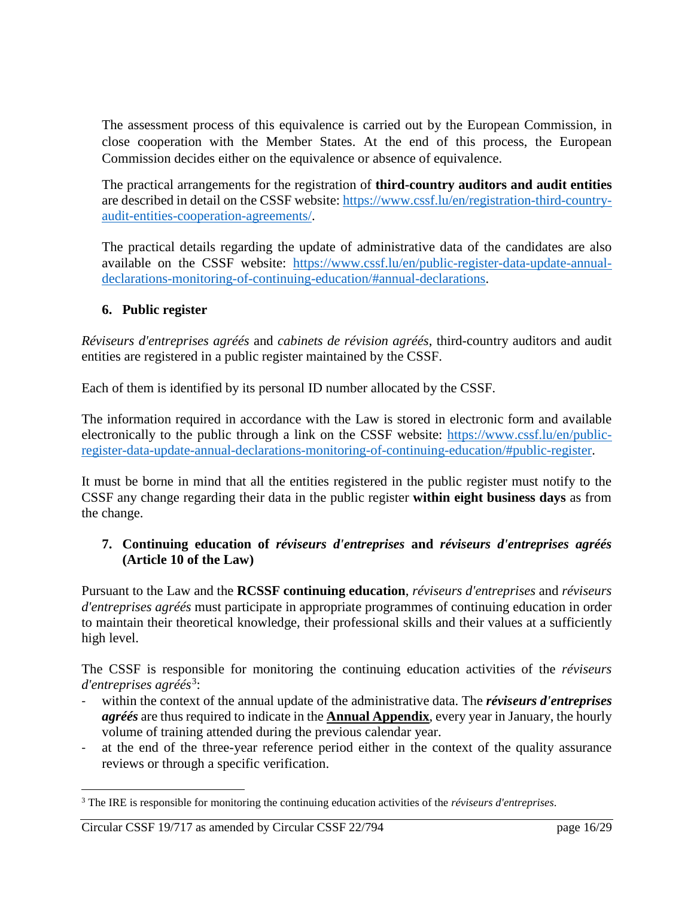The assessment process of this equivalence is carried out by the European Commission, in close cooperation with the Member States. At the end of this process, the European Commission decides either on the equivalence or absence of equivalence.

The practical arrangements for the registration of **third-country auditors and audit entities** are described in detail on the CSSF website: [https://www.cssf.lu/en/registration-third-country](https://www.cssf.lu/en/registration-third-country-audit-entities-cooperation-agreements/)[audit-entities-cooperation-agreements/.](https://www.cssf.lu/en/registration-third-country-audit-entities-cooperation-agreements/)

The practical details regarding the update of administrative data of the candidates are also available on the CSSF website: [https://www.cssf.lu/en/public-register-data-update-annual](https://www.cssf.lu/en/public-register-data-update-annual-declarations-monitoring-of-continuing-education/#annual-declarations)[declarations-monitoring-of-continuing-education/#annual-declarations.](https://www.cssf.lu/en/public-register-data-update-annual-declarations-monitoring-of-continuing-education/#annual-declarations)

# <span id="page-15-0"></span>**6. Public register**

*Réviseurs d'entreprises agréés* and *cabinets de révision agréés*, third-country auditors and audit entities are registered in a public register maintained by the CSSF.

Each of them is identified by its personal ID number allocated by the CSSF.

The information required in accordance with the Law is stored in electronic form and available electronically to the public through a link on the CSSF website: [https://www.cssf.lu/en/public](https://www.cssf.lu/en/public-register-data-update-annual-declarations-monitoring-of-continuing-education/#public-register)[register-data-update-annual-declarations-monitoring-of-continuing-education/#public-register.](https://www.cssf.lu/en/public-register-data-update-annual-declarations-monitoring-of-continuing-education/#public-register)

It must be borne in mind that all the entities registered in the public register must notify to the CSSF any change regarding their data in the public register **within eight business days** as from the change.

#### <span id="page-15-1"></span>**7. Continuing education of** *réviseurs d'entreprises* **and** *réviseurs d'entreprises agréés* **(Article 10 of the Law)**

Pursuant to the Law and the **RCSSF continuing education**, *réviseurs d'entreprises* and *réviseurs d'entreprises agréés* must participate in appropriate programmes of continuing education in order to maintain their theoretical knowledge, their professional skills and their values at a sufficiently high level.

The CSSF is responsible for monitoring the continuing education activities of the *réviseurs d'entreprises agréés*[3](#page-15-2) :

- within the context of the annual update of the administrative data. The *réviseurs d'entreprises agréés* are thus required to indicate in the **[Annual Appendix](https://www.cssf.lu/en/publication-data/?entity_type=5&content_type=551)**, every year in January, the hourly volume of training attended during the previous calendar year.
- at the end of the three-year reference period either in the context of the quality assurance reviews or through a specific verification.

 $\overline{a}$ 

<span id="page-15-2"></span><sup>3</sup> The IRE is responsible for monitoring the continuing education activities of the *réviseurs d'entreprises*.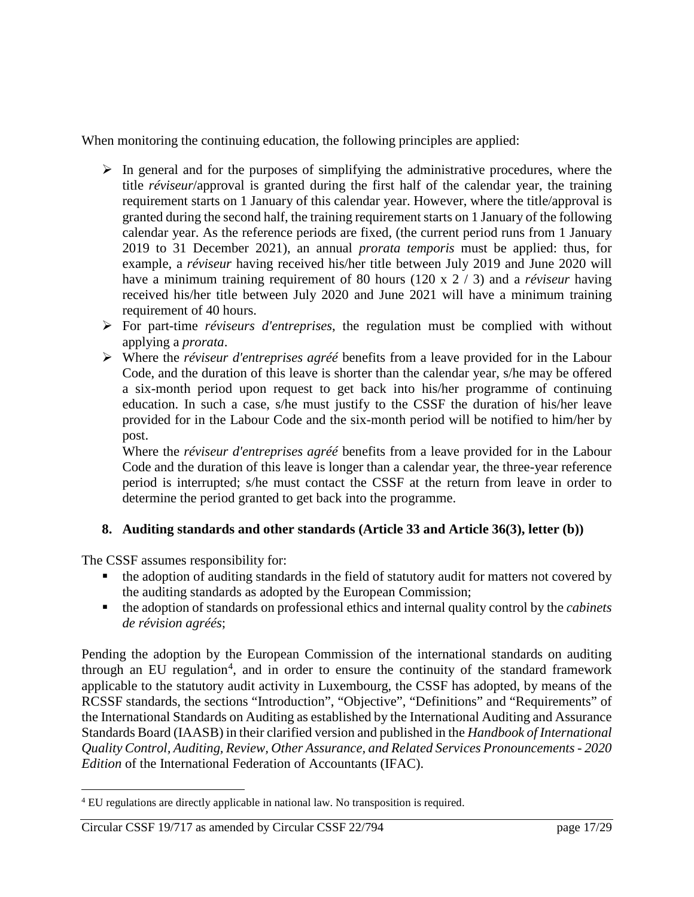When monitoring the continuing education, the following principles are applied:

- $\triangleright$  In general and for the purposes of simplifying the administrative procedures, where the title *réviseur*/approval is granted during the first half of the calendar year, the training requirement starts on 1 January of this calendar year. However, where the title/approval is granted during the second half, the training requirement starts on 1 January of the following calendar year. As the reference periods are fixed, (the current period runs from 1 January 2019 to 31 December 2021), an annual *prorata temporis* must be applied: thus, for example, a *réviseur* having received his/her title between July 2019 and June 2020 will have a minimum training requirement of 80 hours (120 x 2 / 3) and a *réviseur* having received his/her title between July 2020 and June 2021 will have a minimum training requirement of 40 hours.
- For part-time *réviseurs d'entreprises*, the regulation must be complied with without applying a *prorata*.
- Where the *réviseur d'entreprises agréé* benefits from a leave provided for in the Labour Code, and the duration of this leave is shorter than the calendar year, s/he may be offered a six-month period upon request to get back into his/her programme of continuing education. In such a case, s/he must justify to the CSSF the duration of his/her leave provided for in the Labour Code and the six-month period will be notified to him/her by post.

Where the *réviseur d'entreprises agréé* benefits from a leave provided for in the Labour Code and the duration of this leave is longer than a calendar year, the three-year reference period is interrupted; s/he must contact the CSSF at the return from leave in order to determine the period granted to get back into the programme.

# <span id="page-16-0"></span>**8. Auditing standards and other standards (Article 33 and Article 36(3), letter (b))**

The CSSF assumes responsibility for:

- the adoption of auditing standards in the field of statutory audit for matters not covered by the auditing standards as adopted by the European Commission;
- the adoption of standards on professional ethics and internal quality control by the *cabinets de révision agréés*;

Pending the adoption by the European Commission of the international standards on auditing through an EU regulation<sup>[4](#page-16-1)</sup>, and in order to ensure the continuity of the standard framework applicable to the statutory audit activity in Luxembourg, the CSSF has adopted, by means of the RCSSF standards, the sections "Introduction", "Objective", "Definitions" and "Requirements" of the International Standards on Auditing as established by the International Auditing and Assurance Standards Board (IAASB) in their clarified version and published in the *Handbook of International Quality Control, Auditing, Review, Other Assurance, and Related Services Pronouncements - 2020 Edition* of the International Federation of Accountants (IFAC).

#### Circular CSSF 19/717 as amended by Circular CSSF 22/794 page 17/29

<span id="page-16-1"></span> $\overline{a}$ <sup>4</sup> EU regulations are directly applicable in national law. No transposition is required.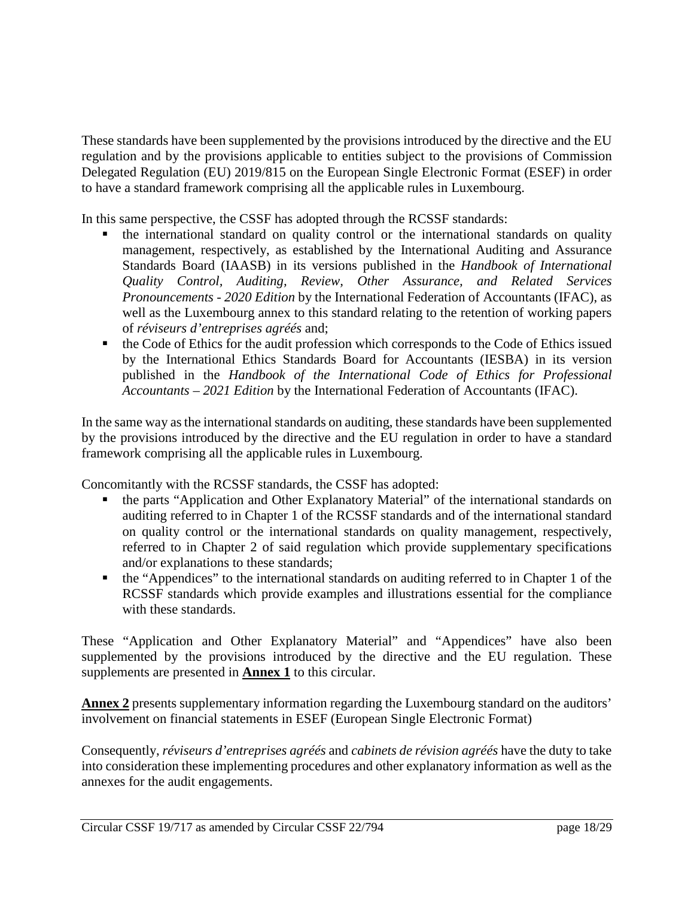These standards have been supplemented by the provisions introduced by the directive and the EU regulation and by the provisions applicable to entities subject to the provisions of Commission Delegated Regulation (EU) 2019/815 on the European Single Electronic Format (ESEF) in order to have a standard framework comprising all the applicable rules in Luxembourg.

In this same perspective, the CSSF has adopted through the RCSSF standards:

- the international standard on quality control or the international standards on quality management, respectively, as established by the International Auditing and Assurance Standards Board (IAASB) in its versions published in the *Handbook of International Quality Control, Auditing, Review, Other Assurance, and Related Services Pronouncements - 2020 Edition* by the International Federation of Accountants (IFAC), as well as the Luxembourg annex to this standard relating to the retention of working papers of *réviseurs d'entreprises agréés* and;
- the Code of Ethics for the audit profession which corresponds to the Code of Ethics issued by the International Ethics Standards Board for Accountants (IESBA) in its version published in the *Handbook of the International Code of Ethics for Professional Accountants – 2021 Edition* by the International Federation of Accountants (IFAC).

In the same way as the international standards on auditing, these standards have been supplemented by the provisions introduced by the directive and the EU regulation in order to have a standard framework comprising all the applicable rules in Luxembourg.

Concomitantly with the RCSSF standards, the CSSF has adopted:

- the parts "Application and Other Explanatory Material" of the international standards on auditing referred to in Chapter 1 of the RCSSF standards and of the international standard on quality control or the international standards on quality management, respectively, referred to in Chapter 2 of said regulation which provide supplementary specifications and/or explanations to these standards;
- the "Appendices" to the international standards on auditing referred to in Chapter 1 of the RCSSF standards which provide examples and illustrations essential for the compliance with these standards.

These "Application and Other Explanatory Material" and "Appendices" have also been supplemented by the provisions introduced by the directive and the EU regulation. These supplements are presented in **Annex 1** to this circular.

**Annex 2** presents supplementary information regarding the Luxembourg standard on the auditors' involvement on financial statements in ESEF (European Single Electronic Format)

Consequently, *réviseurs d'entreprises agréés* and *cabinets de révision agréés* have the duty to take into consideration these implementing procedures and other explanatory information as well as the annexes for the audit engagements.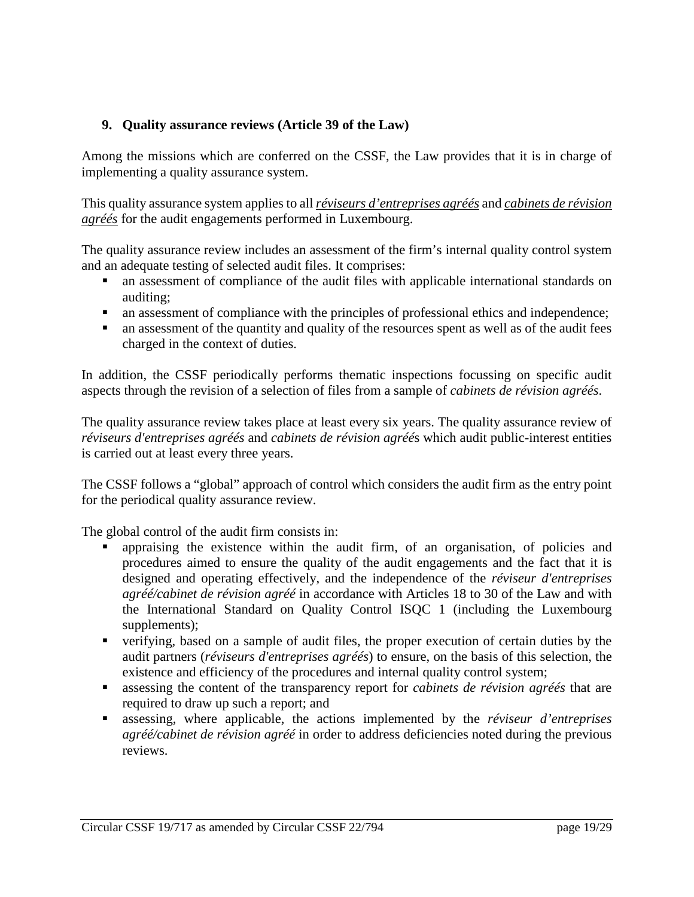# <span id="page-18-0"></span>**9. Quality assurance reviews (Article 39 of the Law)**

Among the missions which are conferred on the CSSF, the Law provides that it is in charge of implementing a quality assurance system.

This quality assurance system applies to all *réviseurs d'entreprises agréés* and *cabinets de révision agréés* for the audit engagements performed in Luxembourg.

The quality assurance review includes an assessment of the firm's internal quality control system and an adequate testing of selected audit files. It comprises:

- an assessment of compliance of the audit files with applicable international standards on auditing;
- an assessment of compliance with the principles of professional ethics and independence;
- an assessment of the quantity and quality of the resources spent as well as of the audit fees charged in the context of duties.

In addition, the CSSF periodically performs thematic inspections focussing on specific audit aspects through the revision of a selection of files from a sample of *cabinets de révision agréés*.

The quality assurance review takes place at least every six years. The quality assurance review of *réviseurs d'entreprises agréés* and *cabinets de révision agréé*s which audit public-interest entities is carried out at least every three years.

The CSSF follows a "global" approach of control which considers the audit firm as the entry point for the periodical quality assurance review.

The global control of the audit firm consists in:

- appraising the existence within the audit firm, of an organisation, of policies and procedures aimed to ensure the quality of the audit engagements and the fact that it is designed and operating effectively, and the independence of the *réviseur d'entreprises agréé/cabinet de révision agréé* in accordance with Articles 18 to 30 of the Law and with the International Standard on Quality Control ISQC 1 (including the Luxembourg supplements);
- verifying, based on a sample of audit files, the proper execution of certain duties by the audit partners (*réviseurs d'entreprises agréés*) to ensure, on the basis of this selection, the existence and efficiency of the procedures and internal quality control system;
- assessing the content of the transparency report for *cabinets de révision agréés* that are required to draw up such a report; and
- assessing, where applicable, the actions implemented by the *réviseur d'entreprises agréé/cabinet de révision agréé* in order to address deficiencies noted during the previous reviews.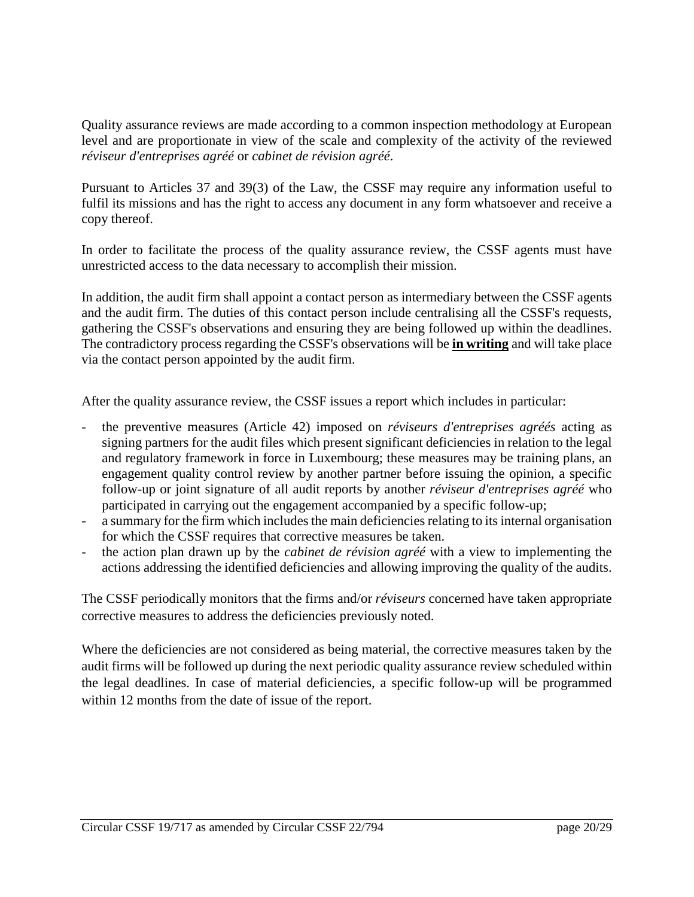Quality assurance reviews are made according to a common inspection methodology at European level and are proportionate in view of the scale and complexity of the activity of the reviewed *réviseur d'entreprises agréé* or *cabinet de révision agréé*.

Pursuant to Articles 37 and 39(3) of the Law, the CSSF may require any information useful to fulfil its missions and has the right to access any document in any form whatsoever and receive a copy thereof.

In order to facilitate the process of the quality assurance review, the CSSF agents must have unrestricted access to the data necessary to accomplish their mission.

In addition, the audit firm shall appoint a contact person as intermediary between the CSSF agents and the audit firm. The duties of this contact person include centralising all the CSSF's requests, gathering the CSSF's observations and ensuring they are being followed up within the deadlines. The contradictory process regarding the CSSF's observations will be **in writing** and will take place via the contact person appointed by the audit firm.

After the quality assurance review, the CSSF issues a report which includes in particular:

- the preventive measures (Article 42) imposed on *réviseurs d'entreprises agréés* acting as signing partners for the audit files which present significant deficiencies in relation to the legal and regulatory framework in force in Luxembourg; these measures may be training plans, an engagement quality control review by another partner before issuing the opinion, a specific follow-up or joint signature of all audit reports by another *réviseur d'entreprises agréé* who participated in carrying out the engagement accompanied by a specific follow-up;
- a summary for the firm which includes the main deficiencies relating to its internal organisation for which the CSSF requires that corrective measures be taken.
- the action plan drawn up by the *cabinet de révision agréé* with a view to implementing the actions addressing the identified deficiencies and allowing improving the quality of the audits.

The CSSF periodically monitors that the firms and/or *réviseurs* concerned have taken appropriate corrective measures to address the deficiencies previously noted.

Where the deficiencies are not considered as being material, the corrective measures taken by the audit firms will be followed up during the next periodic quality assurance review scheduled within the legal deadlines. In case of material deficiencies, a specific follow-up will be programmed within 12 months from the date of issue of the report.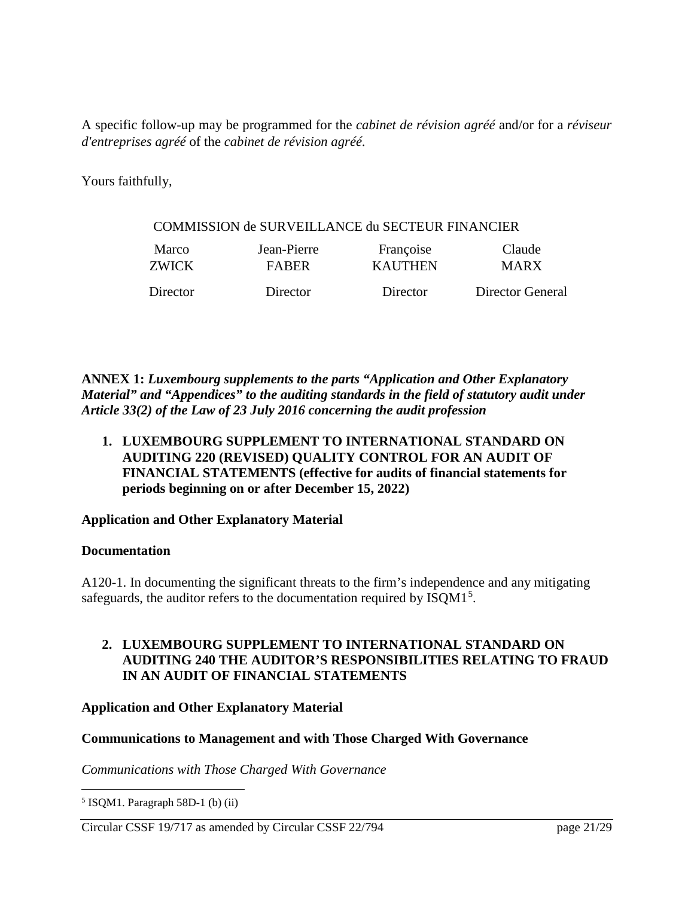A specific follow-up may be programmed for the *cabinet de révision agréé* and/or for a *réviseur d'entreprises agréé* of the *cabinet de révision agréé*.

Yours faithfully,

#### COMMISSION de SURVEILLANCE du SECTEUR FINANCIER

| Marco    | Jean-Pierre  | Françoise      | Claude           |
|----------|--------------|----------------|------------------|
| ZWICK    | <b>FARER</b> | <b>KAUTHEN</b> | <b>MARX</b>      |
| Director | Director     | Director       | Director General |

**ANNEX 1:** *Luxembourg supplements to the parts "Application and Other Explanatory Material" and "Appendices" to the auditing standards in the field of statutory audit under Article 33(2) of the Law of 23 July 2016 concerning the audit profession*

**1. LUXEMBOURG SUPPLEMENT TO INTERNATIONAL STANDARD ON AUDITING 220 (REVISED) QUALITY CONTROL FOR AN AUDIT OF FINANCIAL STATEMENTS (effective for audits of financial statements for periods beginning on or after December 15, 2022)**

#### **Application and Other Explanatory Material**

#### **Documentation**

A120-1. In documenting the significant threats to the firm's independence and any mitigating safeguards, the auditor refers to the documentation required by ISQM1<sup>[5](#page-20-0)</sup>.

#### **2. LUXEMBOURG SUPPLEMENT TO INTERNATIONAL STANDARD ON AUDITING 240 THE AUDITOR'S RESPONSIBILITIES RELATING TO FRAUD IN AN AUDIT OF FINANCIAL STATEMENTS**

**Application and Other Explanatory Material**

#### **Communications to Management and with Those Charged With Governance**

*Communications with Those Charged With Governance*

<span id="page-20-0"></span> $\overline{a}$  $5$  ISQM1. Paragraph 58D-1 (b) (ii)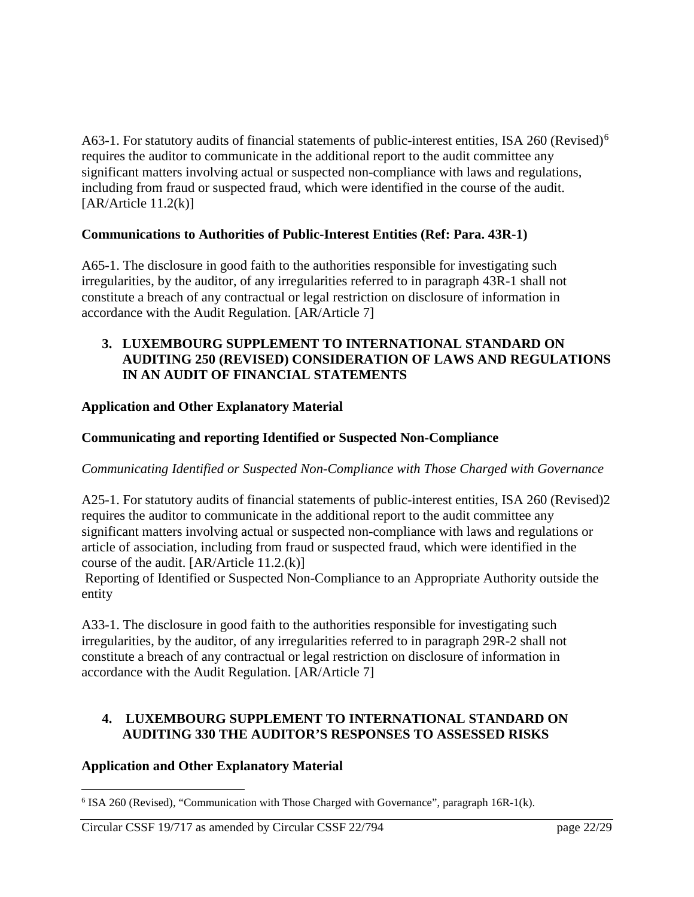A[6](#page-21-0)3-1. For statutory audits of financial statements of public-interest entities, ISA 260 (Revised)<sup>6</sup> requires the auditor to communicate in the additional report to the audit committee any significant matters involving actual or suspected non-compliance with laws and regulations, including from fraud or suspected fraud, which were identified in the course of the audit.  $[AR/A$ rticle  $11.2(k)]$ 

# **Communications to Authorities of Public-Interest Entities (Ref: Para. 43R-1)**

A65-1. The disclosure in good faith to the authorities responsible for investigating such irregularities, by the auditor, of any irregularities referred to in paragraph 43R-1 shall not constitute a breach of any contractual or legal restriction on disclosure of information in accordance with the Audit Regulation. [AR/Article 7]

#### **3. LUXEMBOURG SUPPLEMENT TO INTERNATIONAL STANDARD ON AUDITING 250 (REVISED) CONSIDERATION OF LAWS AND REGULATIONS IN AN AUDIT OF FINANCIAL STATEMENTS**

# **Application and Other Explanatory Material**

#### **Communicating and reporting Identified or Suspected Non-Compliance**

#### *Communicating Identified or Suspected Non-Compliance with Those Charged with Governance*

A25-1. For statutory audits of financial statements of public-interest entities, ISA 260 (Revised)2 requires the auditor to communicate in the additional report to the audit committee any significant matters involving actual or suspected non-compliance with laws and regulations or article of association, including from fraud or suspected fraud, which were identified in the course of the audit. [AR/Article 11.2.(k)]

Reporting of Identified or Suspected Non-Compliance to an Appropriate Authority outside the entity

A33-1. The disclosure in good faith to the authorities responsible for investigating such irregularities, by the auditor, of any irregularities referred to in paragraph 29R-2 shall not constitute a breach of any contractual or legal restriction on disclosure of information in accordance with the Audit Regulation. [AR/Article 7]

#### **4. LUXEMBOURG SUPPLEMENT TO INTERNATIONAL STANDARD ON AUDITING 330 THE AUDITOR'S RESPONSES TO ASSESSED RISKS**

#### **Application and Other Explanatory Material**

<span id="page-21-0"></span> $\overline{a}$  $6$  ISA 260 (Revised), "Communication with Those Charged with Governance", paragraph 16R-1(k).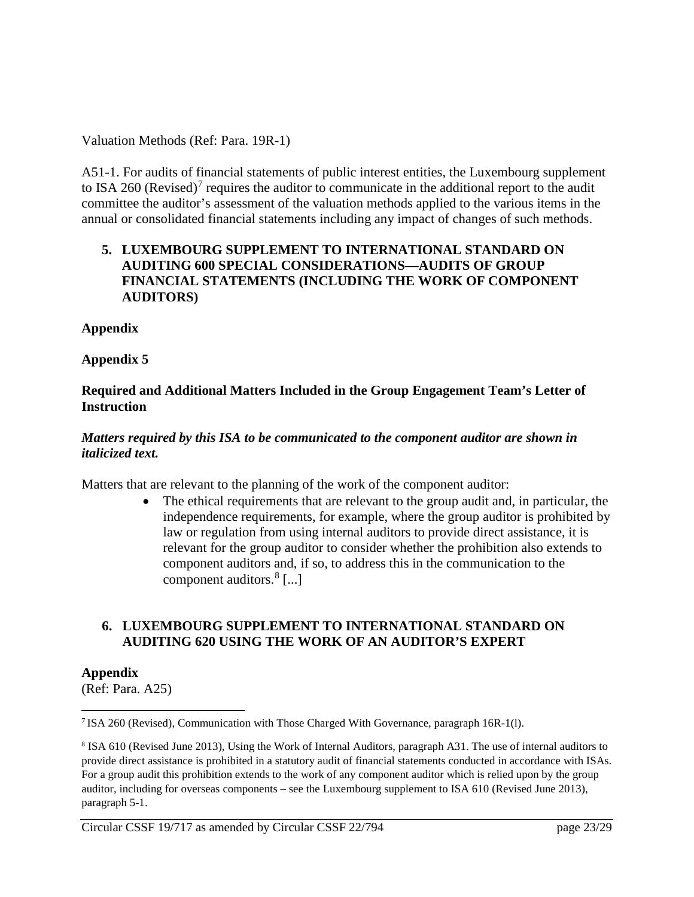Valuation Methods (Ref: Para. 19R-1)

A51-1. For audits of financial statements of public interest entities, the Luxembourg supplement to ISA 260 (Revised)<sup>[7](#page-22-0)</sup> requires the auditor to communicate in the additional report to the audit committee the auditor's assessment of the valuation methods applied to the various items in the annual or consolidated financial statements including any impact of changes of such methods.

#### **5. LUXEMBOURG SUPPLEMENT TO INTERNATIONAL STANDARD ON AUDITING 600 SPECIAL CONSIDERATIONS—AUDITS OF GROUP FINANCIAL STATEMENTS (INCLUDING THE WORK OF COMPONENT AUDITORS)**

#### **Appendix**

#### **Appendix 5**

#### **Required and Additional Matters Included in the Group Engagement Team's Letter of Instruction**

#### *Matters required by this ISA to be communicated to the component auditor are shown in italicized text.*

Matters that are relevant to the planning of the work of the component auditor:

• The ethical requirements that are relevant to the group audit and, in particular, the independence requirements, for example, where the group auditor is prohibited by law or regulation from using internal auditors to provide direct assistance, it is relevant for the group auditor to consider whether the prohibition also extends to component auditors and, if so, to address this in the communication to the component auditors. $8$  [...]

# **6. LUXEMBOURG SUPPLEMENT TO INTERNATIONAL STANDARD ON AUDITING 620 USING THE WORK OF AN AUDITOR'S EXPERT**

#### **Appendix**

 $\overline{a}$ 

(Ref: Para. A25)

<span id="page-22-0"></span><sup>7</sup> ISA 260 (Revised), Communication with Those Charged With Governance, paragraph 16R-1(l).

<span id="page-22-1"></span><sup>8</sup> ISA 610 (Revised June 2013), Using the Work of Internal Auditors, paragraph A31. The use of internal auditors to provide direct assistance is prohibited in a statutory audit of financial statements conducted in accordance with ISAs. For a group audit this prohibition extends to the work of any component auditor which is relied upon by the group auditor, including for overseas components – see the Luxembourg supplement to ISA 610 (Revised June 2013), paragraph 5-1.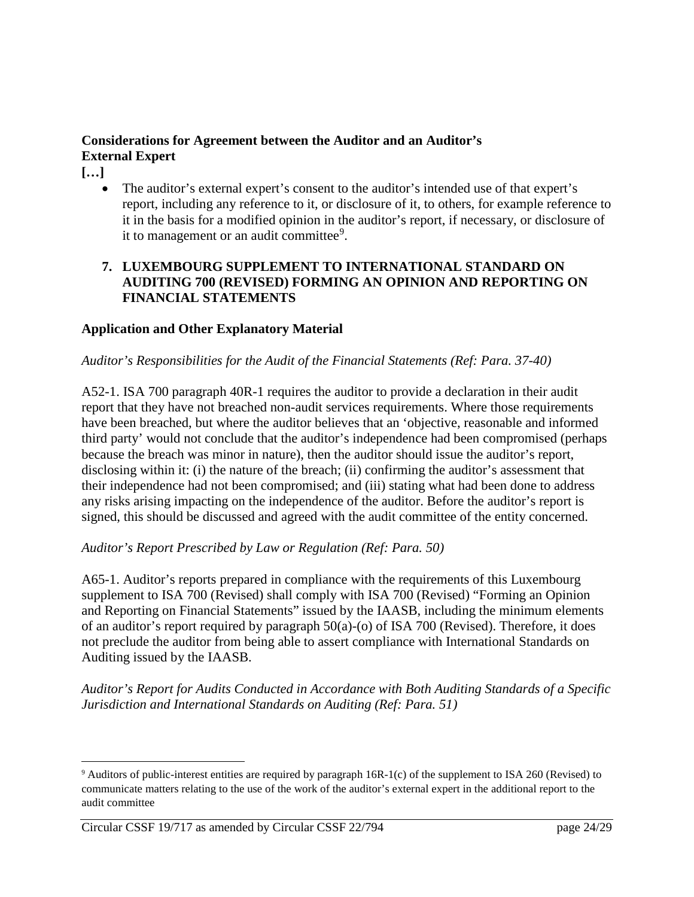# **Considerations for Agreement between the Auditor and an Auditor's External Expert**

**[…]**

 $\overline{\phantom{a}}$ 

The auditor's external expert's consent to the auditor's intended use of that expert's report, including any reference to it, or disclosure of it, to others, for example reference to it in the basis for a modified opinion in the auditor's report, if necessary, or disclosure of it to management or an audit committee<sup>[9](#page-23-0)</sup>.

# **7. LUXEMBOURG SUPPLEMENT TO INTERNATIONAL STANDARD ON AUDITING 700 (REVISED) FORMING AN OPINION AND REPORTING ON FINANCIAL STATEMENTS**

# **Application and Other Explanatory Material**

# *Auditor's Responsibilities for the Audit of the Financial Statements (Ref: Para. 37-40)*

A52-1. ISA 700 paragraph 40R-1 requires the auditor to provide a declaration in their audit report that they have not breached non-audit services requirements. Where those requirements have been breached, but where the auditor believes that an 'objective, reasonable and informed third party' would not conclude that the auditor's independence had been compromised (perhaps because the breach was minor in nature), then the auditor should issue the auditor's report, disclosing within it: (i) the nature of the breach; (ii) confirming the auditor's assessment that their independence had not been compromised; and (iii) stating what had been done to address any risks arising impacting on the independence of the auditor. Before the auditor's report is signed, this should be discussed and agreed with the audit committee of the entity concerned.

#### *Auditor's Report Prescribed by Law or Regulation (Ref: Para. 50)*

A65-1. Auditor's reports prepared in compliance with the requirements of this Luxembourg supplement to ISA 700 (Revised) shall comply with ISA 700 (Revised) "Forming an Opinion and Reporting on Financial Statements" issued by the IAASB, including the minimum elements of an auditor's report required by paragraph 50(a)-(o) of ISA 700 (Revised). Therefore, it does not preclude the auditor from being able to assert compliance with International Standards on Auditing issued by the IAASB.

*Auditor's Report for Audits Conducted in Accordance with Both Auditing Standards of a Specific Jurisdiction and International Standards on Auditing (Ref: Para. 51)*

<span id="page-23-0"></span><sup>9</sup> Auditors of public-interest entities are required by paragraph 16R-1(c) of the supplement to ISA 260 (Revised) to communicate matters relating to the use of the work of the auditor's external expert in the additional report to the audit committee

Circular CSSF 19/717 as amended by Circular CSSF 22/794 page 24/29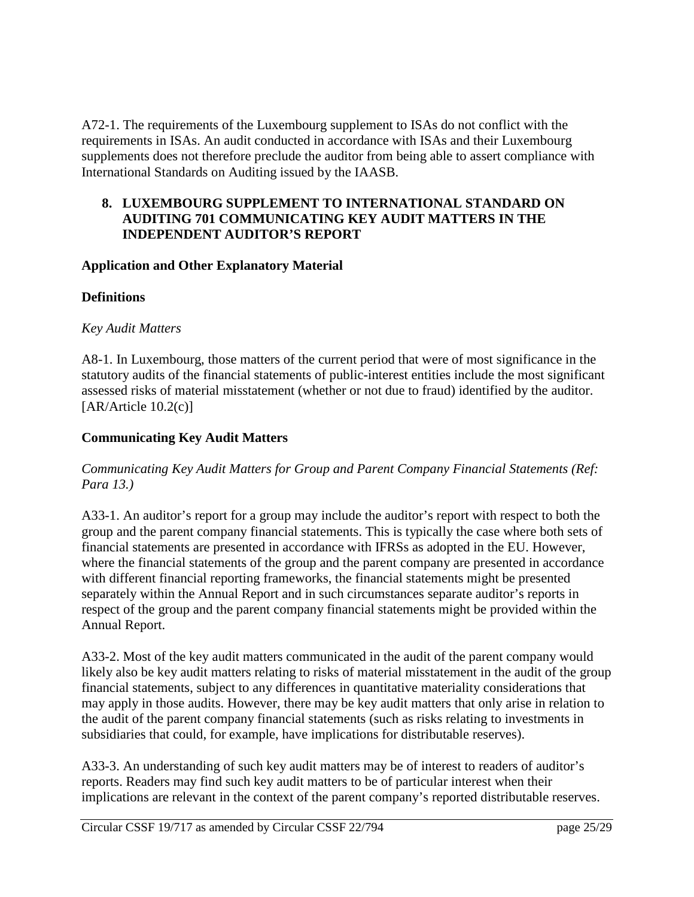A72-1. The requirements of the Luxembourg supplement to ISAs do not conflict with the requirements in ISAs. An audit conducted in accordance with ISAs and their Luxembourg supplements does not therefore preclude the auditor from being able to assert compliance with International Standards on Auditing issued by the IAASB.

### **8. LUXEMBOURG SUPPLEMENT TO INTERNATIONAL STANDARD ON AUDITING 701 COMMUNICATING KEY AUDIT MATTERS IN THE INDEPENDENT AUDITOR'S REPORT**

# **Application and Other Explanatory Material**

# **Definitions**

# *Key Audit Matters*

A8-1. In Luxembourg, those matters of the current period that were of most significance in the statutory audits of the financial statements of public-interest entities include the most significant assessed risks of material misstatement (whether or not due to fraud) identified by the auditor. [AR/Article 10.2(c)]

# **Communicating Key Audit Matters**

# *Communicating Key Audit Matters for Group and Parent Company Financial Statements (Ref: Para 13.)*

A33-1. An auditor's report for a group may include the auditor's report with respect to both the group and the parent company financial statements. This is typically the case where both sets of financial statements are presented in accordance with IFRSs as adopted in the EU. However, where the financial statements of the group and the parent company are presented in accordance with different financial reporting frameworks, the financial statements might be presented separately within the Annual Report and in such circumstances separate auditor's reports in respect of the group and the parent company financial statements might be provided within the Annual Report.

A33-2. Most of the key audit matters communicated in the audit of the parent company would likely also be key audit matters relating to risks of material misstatement in the audit of the group financial statements, subject to any differences in quantitative materiality considerations that may apply in those audits. However, there may be key audit matters that only arise in relation to the audit of the parent company financial statements (such as risks relating to investments in subsidiaries that could, for example, have implications for distributable reserves).

A33-3. An understanding of such key audit matters may be of interest to readers of auditor's reports. Readers may find such key audit matters to be of particular interest when their implications are relevant in the context of the parent company's reported distributable reserves.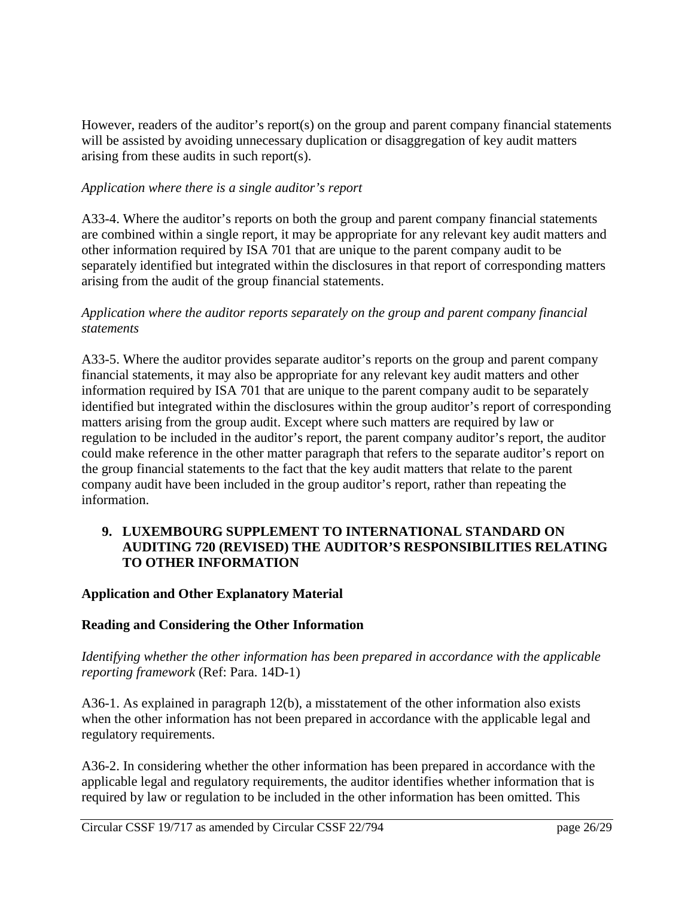However, readers of the auditor's report(s) on the group and parent company financial statements will be assisted by avoiding unnecessary duplication or disaggregation of key audit matters arising from these audits in such report(s).

# *Application where there is a single auditor's report*

A33-4. Where the auditor's reports on both the group and parent company financial statements are combined within a single report, it may be appropriate for any relevant key audit matters and other information required by ISA 701 that are unique to the parent company audit to be separately identified but integrated within the disclosures in that report of corresponding matters arising from the audit of the group financial statements.

#### *Application where the auditor reports separately on the group and parent company financial statements*

A33-5. Where the auditor provides separate auditor's reports on the group and parent company financial statements, it may also be appropriate for any relevant key audit matters and other information required by ISA 701 that are unique to the parent company audit to be separately identified but integrated within the disclosures within the group auditor's report of corresponding matters arising from the group audit. Except where such matters are required by law or regulation to be included in the auditor's report, the parent company auditor's report, the auditor could make reference in the other matter paragraph that refers to the separate auditor's report on the group financial statements to the fact that the key audit matters that relate to the parent company audit have been included in the group auditor's report, rather than repeating the information.

#### **9. LUXEMBOURG SUPPLEMENT TO INTERNATIONAL STANDARD ON AUDITING 720 (REVISED) THE AUDITOR'S RESPONSIBILITIES RELATING TO OTHER INFORMATION**

# **Application and Other Explanatory Material**

#### **Reading and Considering the Other Information**

*Identifying whether the other information has been prepared in accordance with the applicable reporting framework* (Ref: Para. 14D-1)

A36-1. As explained in paragraph 12(b), a misstatement of the other information also exists when the other information has not been prepared in accordance with the applicable legal and regulatory requirements.

A36-2. In considering whether the other information has been prepared in accordance with the applicable legal and regulatory requirements, the auditor identifies whether information that is required by law or regulation to be included in the other information has been omitted. This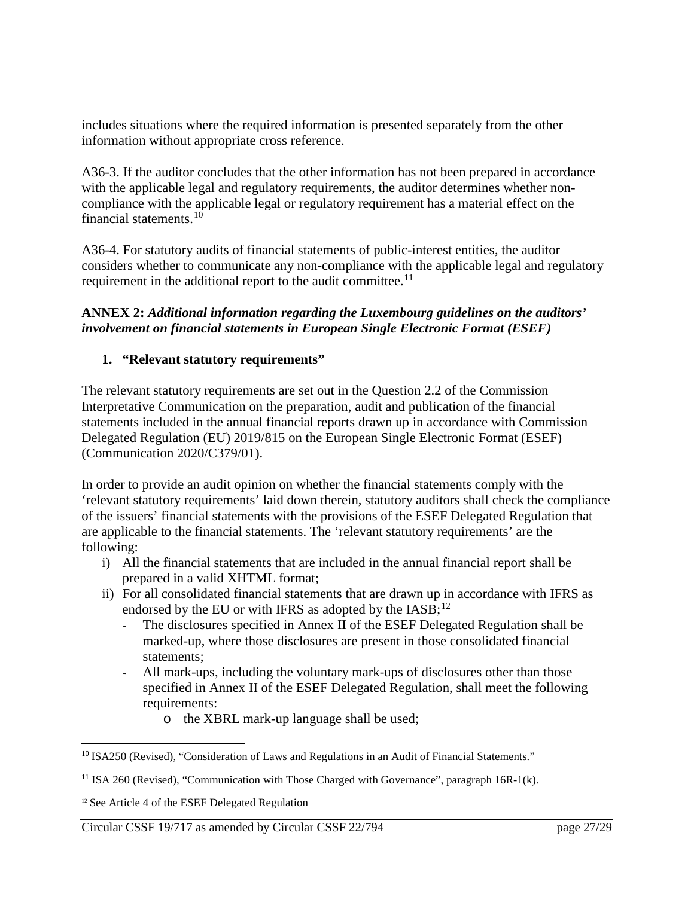includes situations where the required information is presented separately from the other information without appropriate cross reference.

A36-3. If the auditor concludes that the other information has not been prepared in accordance with the applicable legal and regulatory requirements, the auditor determines whether noncompliance with the applicable legal or regulatory requirement has a material effect on the financial statements.[10](#page-26-0)

A36-4. For statutory audits of financial statements of public-interest entities, the auditor considers whether to communicate any non-compliance with the applicable legal and regulatory requirement in the additional report to the audit committee.<sup>[11](#page-26-1)</sup>

# **ANNEX 2:** *Additional information regarding the Luxembourg guidelines on the auditors' involvement on financial statements in European Single Electronic Format (ESEF)*

# **1. "Relevant statutory requirements"**

The relevant statutory requirements are set out in the Question 2.2 of the Commission Interpretative Communication on the preparation, audit and publication of the financial statements included in the annual financial reports drawn up in accordance with Commission Delegated Regulation (EU) 2019/815 on the European Single Electronic Format (ESEF) (Communication 2020/C379/01).

In order to provide an audit opinion on whether the financial statements comply with the 'relevant statutory requirements' laid down therein, statutory auditors shall check the compliance of the issuers' financial statements with the provisions of the ESEF Delegated Regulation that are applicable to the financial statements. The 'relevant statutory requirements' are the following:

- i) All the financial statements that are included in the annual financial report shall be prepared in a valid XHTML format;
- ii) For all consolidated financial statements that are drawn up in accordance with IFRS as endorsed by the EU or with IFRS as adopted by the  $[ASS<sub>i</sub>^{12}]$  $[ASS<sub>i</sub>^{12}]$  $[ASS<sub>i</sub>^{12}]$ 
	- The disclosures specified in Annex II of the ESEF Delegated Regulation shall be marked-up, where those disclosures are present in those consolidated financial statements;
	- All mark-ups, including the voluntary mark-ups of disclosures other than those specified in Annex II of the ESEF Delegated Regulation, shall meet the following requirements:
		- o the XBRL mark-up language shall be used;

 $\overline{a}$ 

<span id="page-26-0"></span><sup>&</sup>lt;sup>10</sup> ISA250 (Revised), "Consideration of Laws and Regulations in an Audit of Financial Statements."

<span id="page-26-1"></span><sup>&</sup>lt;sup>11</sup> ISA 260 (Revised), "Communication with Those Charged with Governance", paragraph  $16R-1(k)$ .

<span id="page-26-2"></span><sup>&</sup>lt;sup>12</sup> See Article 4 of the ESEF Delegated Regulation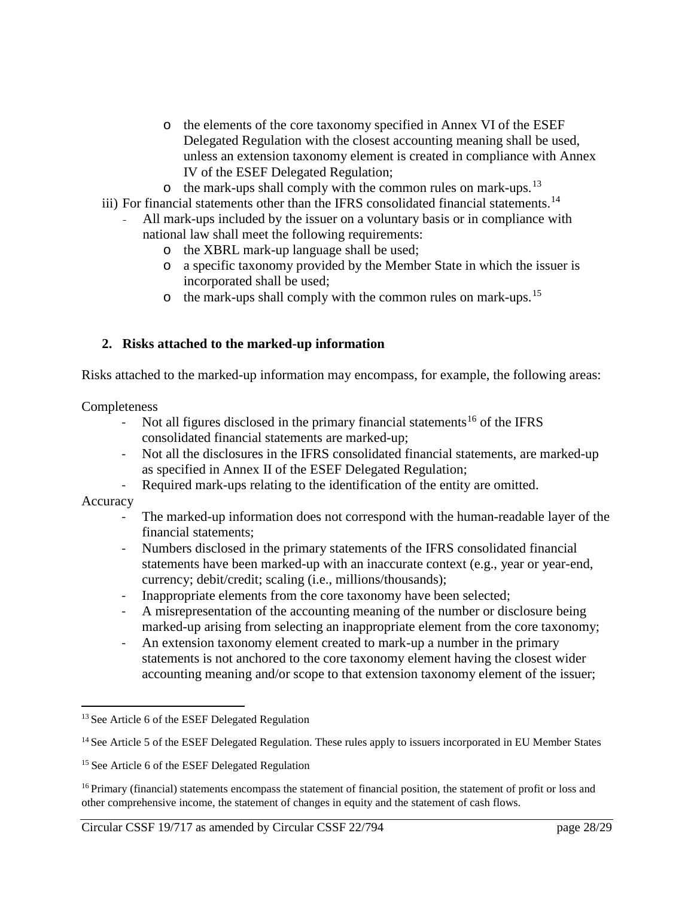- o the elements of the core taxonomy specified in Annex VI of the ESEF Delegated Regulation with the closest accounting meaning shall be used, unless an extension taxonomy element is created in compliance with Annex IV of the ESEF Delegated Regulation;
- $\circ$  the mark-ups shall comply with the common rules on mark-ups.<sup>[13](#page-27-0)</sup>
- iii) For financial statements other than the IFRS consolidated financial statements.<sup>[14](#page-27-1)</sup>
	- All mark-ups included by the issuer on a voluntary basis or in compliance with national law shall meet the following requirements:
		- o the XBRL mark-up language shall be used;
		- o a specific taxonomy provided by the Member State in which the issuer is incorporated shall be used;
		- $\circ$  the mark-ups shall comply with the common rules on mark-ups.<sup>[15](#page-27-2)</sup>

# **2. Risks attached to the marked-up information**

Risks attached to the marked-up information may encompass, for example, the following areas:

**Completeness** 

- Not all figures disclosed in the primary financial statements<sup>[16](#page-27-3)</sup> of the IFRS consolidated financial statements are marked-up;
- Not all the disclosures in the IFRS consolidated financial statements, are marked-up as specified in Annex II of the ESEF Delegated Regulation;
- Required mark-ups relating to the identification of the entity are omitted.

Accuracy

l

- The marked-up information does not correspond with the human-readable layer of the financial statements;
- Numbers disclosed in the primary statements of the IFRS consolidated financial statements have been marked-up with an inaccurate context (e.g., year or year-end, currency; debit/credit; scaling (i.e., millions/thousands);
- Inappropriate elements from the core taxonomy have been selected;
- A misrepresentation of the accounting meaning of the number or disclosure being marked-up arising from selecting an inappropriate element from the core taxonomy;
- An extension taxonomy element created to mark-up a number in the primary statements is not anchored to the core taxonomy element having the closest wider accounting meaning and/or scope to that extension taxonomy element of the issuer;

<span id="page-27-0"></span><sup>&</sup>lt;sup>13</sup> See Article 6 of the ESEF Delegated Regulation

<span id="page-27-1"></span><sup>&</sup>lt;sup>14</sup> See Article 5 of the ESEF Delegated Regulation. These rules apply to issuers incorporated in EU Member States

<span id="page-27-2"></span><sup>&</sup>lt;sup>15</sup> See Article 6 of the ESEF Delegated Regulation

<span id="page-27-3"></span><sup>&</sup>lt;sup>16</sup> Primary (financial) statements encompass the statement of financial position, the statement of profit or loss and other comprehensive income, the statement of changes in equity and the statement of cash flows.